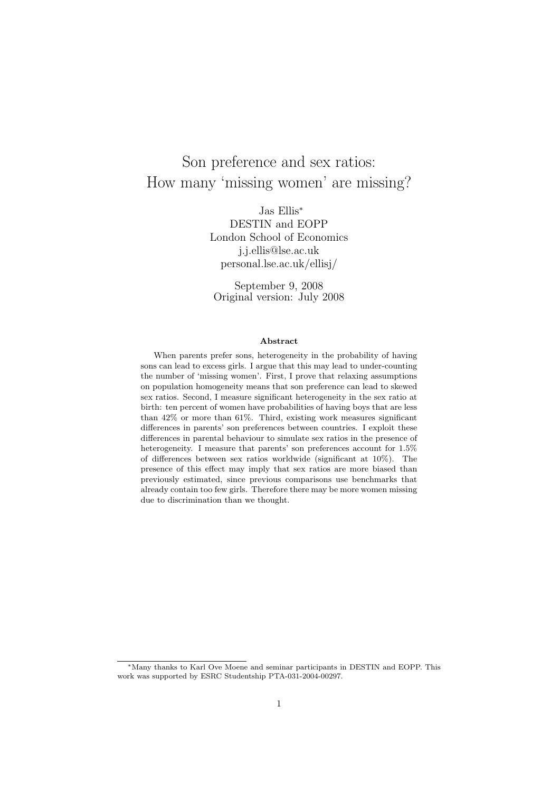# Son preference and sex ratios: How many 'missing women' are missing?

Jas Ellis<sup>∗</sup> DESTIN and EOPP London School of Economics j.j.ellis@lse.ac.uk personal.lse.ac.uk/ellisj/

September 9, 2008 Original version: July 2008

#### Abstract

When parents prefer sons, heterogeneity in the probability of having sons can lead to excess girls. I argue that this may lead to under-counting the number of 'missing women'. First, I prove that relaxing assumptions on population homogeneity means that son preference can lead to skewed sex ratios. Second, I measure significant heterogeneity in the sex ratio at birth: ten percent of women have probabilities of having boys that are less than 42% or more than 61%. Third, existing work measures significant differences in parents' son preferences between countries. I exploit these differences in parental behaviour to simulate sex ratios in the presence of heterogeneity. I measure that parents' son preferences account for  $1.5\%$ of differences between sex ratios worldwide (significant at 10%). The presence of this effect may imply that sex ratios are more biased than previously estimated, since previous comparisons use benchmarks that already contain too few girls. Therefore there may be more women missing due to discrimination than we thought.

<sup>∗</sup>Many thanks to Karl Ove Moene and seminar participants in DESTIN and EOPP. This work was supported by ESRC Studentship PTA-031-2004-00297.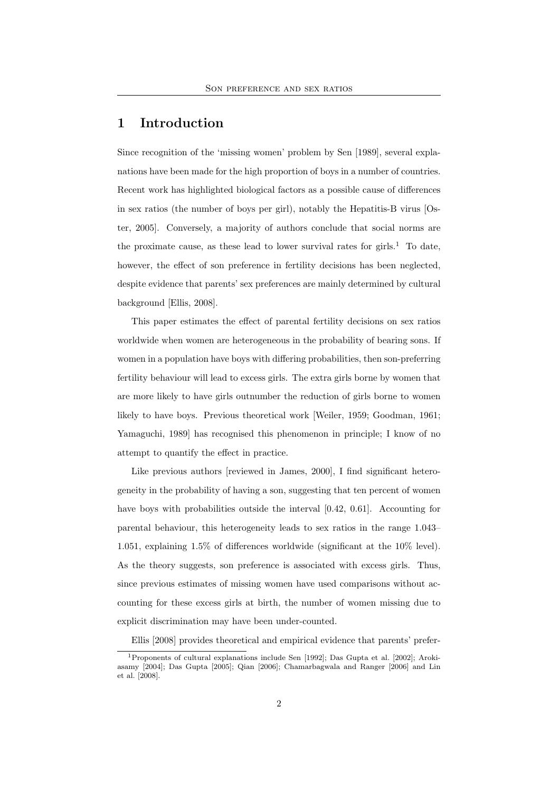# 1 Introduction

Since recognition of the 'missing women' problem by Sen [1989], several explanations have been made for the high proportion of boys in a number of countries. Recent work has highlighted biological factors as a possible cause of differences in sex ratios (the number of boys per girl), notably the Hepatitis-B virus [Oster, 2005]. Conversely, a majority of authors conclude that social norms are the proximate cause, as these lead to lower survival rates for girls.<sup>1</sup> To date, however, the effect of son preference in fertility decisions has been neglected, despite evidence that parents' sex preferences are mainly determined by cultural background [Ellis, 2008].

This paper estimates the effect of parental fertility decisions on sex ratios worldwide when women are heterogeneous in the probability of bearing sons. If women in a population have boys with differing probabilities, then son-preferring fertility behaviour will lead to excess girls. The extra girls borne by women that are more likely to have girls outnumber the reduction of girls borne to women likely to have boys. Previous theoretical work [Weiler, 1959; Goodman, 1961; Yamaguchi, 1989] has recognised this phenomenon in principle; I know of no attempt to quantify the effect in practice.

Like previous authors [reviewed in James, 2000], I find significant heterogeneity in the probability of having a son, suggesting that ten percent of women have boys with probabilities outside the interval [0.42, 0.61]. Accounting for parental behaviour, this heterogeneity leads to sex ratios in the range 1.043– 1.051, explaining 1.5% of differences worldwide (significant at the 10% level). As the theory suggests, son preference is associated with excess girls. Thus, since previous estimates of missing women have used comparisons without accounting for these excess girls at birth, the number of women missing due to explicit discrimination may have been under-counted.

Ellis [2008] provides theoretical and empirical evidence that parents' prefer-

<sup>1</sup>Proponents of cultural explanations include Sen [1992]; Das Gupta et al. [2002]; Arokiasamy [2004]; Das Gupta [2005]; Qian [2006]; Chamarbagwala and Ranger [2006] and Lin et al. [2008].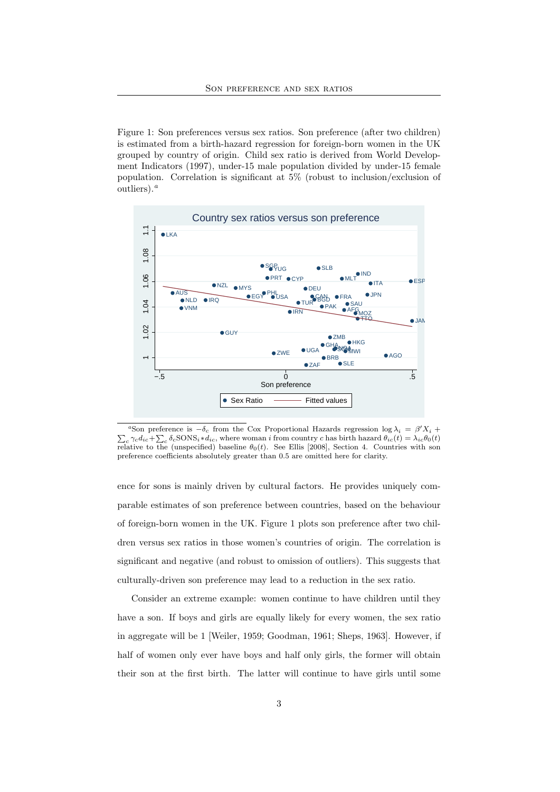Figure 1: Son preferences versus sex ratios. Son preference (after two children) is estimated from a birth-hazard regression for foreign-born women in the UK grouped by country of origin. Child sex ratio is derived from World Development Indicators (1997), under-15 male population divided by under-15 female population. Correlation is significant at 5% (robust to inclusion/exclusion of outliers). $^a$ 



<sup>a</sup>Son preference is  $-\delta_c$  from the Cox Proportional Hazards regression log  $\lambda_i = \beta' X_i +$  $\sum_c \gamma_c d_{ic} + \sum_c \delta_c$ SONS<sub>i</sub>\*d<sub>ic</sub>, where woman i from country c has birth hazard  $\theta_{ic}(t) = \lambda_{ic}\theta_0(t)$ relative to the (unspecified) baseline  $\theta_0(t)$ . See Ellis [2008], Section 4. Countries with son preference coefficients absolutely greater than 0.5 are omitted here for clarity.

ence for sons is mainly driven by cultural factors. He provides uniquely comparable estimates of son preference between countries, based on the behaviour of foreign-born women in the UK. Figure 1 plots son preference after two children versus sex ratios in those women's countries of origin. The correlation is significant and negative (and robust to omission of outliers). This suggests that culturally-driven son preference may lead to a reduction in the sex ratio.

Consider an extreme example: women continue to have children until they have a son. If boys and girls are equally likely for every women, the sex ratio in aggregate will be 1 [Weiler, 1959; Goodman, 1961; Sheps, 1963]. However, if half of women only ever have boys and half only girls, the former will obtain their son at the first birth. The latter will continue to have girls until some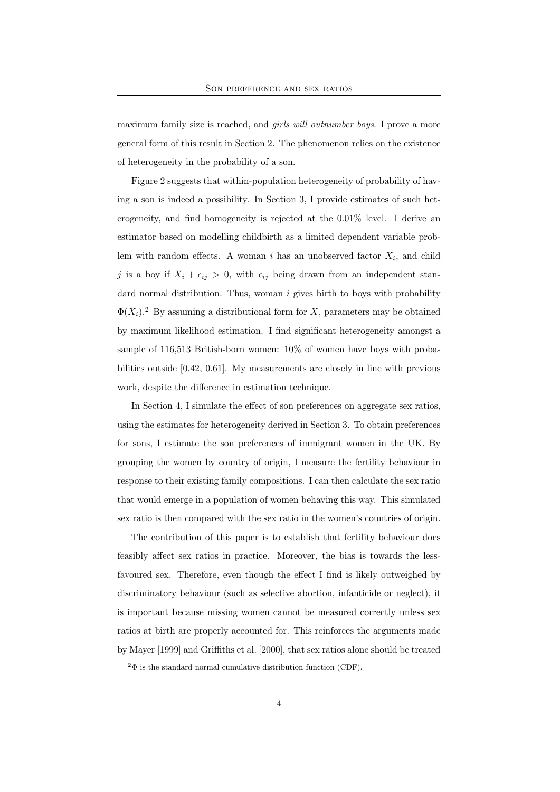maximum family size is reached, and *girls will outnumber boys*. I prove a more general form of this result in Section 2. The phenomenon relies on the existence of heterogeneity in the probability of a son.

Figure 2 suggests that within-population heterogeneity of probability of having a son is indeed a possibility. In Section 3, I provide estimates of such heterogeneity, and find homogeneity is rejected at the 0.01% level. I derive an estimator based on modelling childbirth as a limited dependent variable problem with random effects. A woman i has an unobserved factor  $X_i$ , and child j is a boy if  $X_i + \epsilon_{ij} > 0$ , with  $\epsilon_{ij}$  being drawn from an independent standard normal distribution. Thus, woman  $i$  gives birth to boys with probability  $\Phi(X_i)$ .<sup>2</sup> By assuming a distributional form for X, parameters may be obtained by maximum likelihood estimation. I find significant heterogeneity amongst a sample of 116,513 British-born women: 10% of women have boys with probabilities outside [0.42, 0.61]. My measurements are closely in line with previous work, despite the difference in estimation technique.

In Section 4, I simulate the effect of son preferences on aggregate sex ratios, using the estimates for heterogeneity derived in Section 3. To obtain preferences for sons, I estimate the son preferences of immigrant women in the UK. By grouping the women by country of origin, I measure the fertility behaviour in response to their existing family compositions. I can then calculate the sex ratio that would emerge in a population of women behaving this way. This simulated sex ratio is then compared with the sex ratio in the women's countries of origin.

The contribution of this paper is to establish that fertility behaviour does feasibly affect sex ratios in practice. Moreover, the bias is towards the lessfavoured sex. Therefore, even though the effect I find is likely outweighed by discriminatory behaviour (such as selective abortion, infanticide or neglect), it is important because missing women cannot be measured correctly unless sex ratios at birth are properly accounted for. This reinforces the arguments made by Mayer [1999] and Griffiths et al. [2000], that sex ratios alone should be treated

 $2\Phi$  is the standard normal cumulative distribution function (CDF).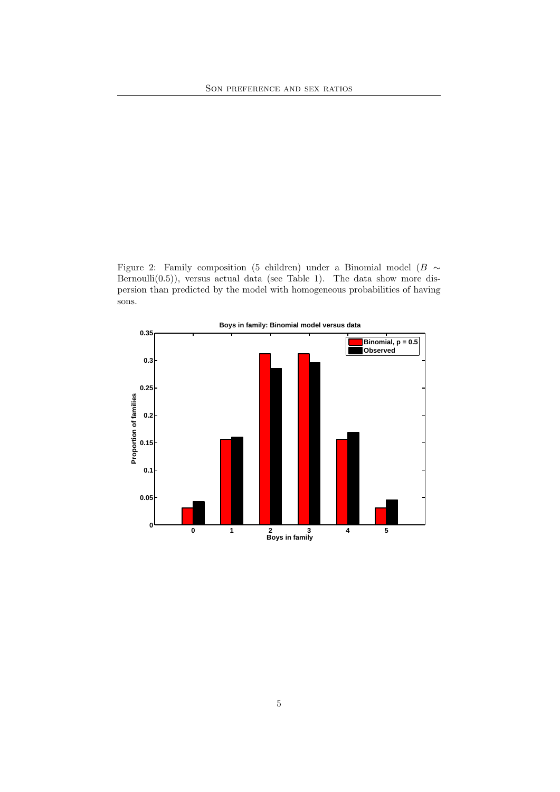

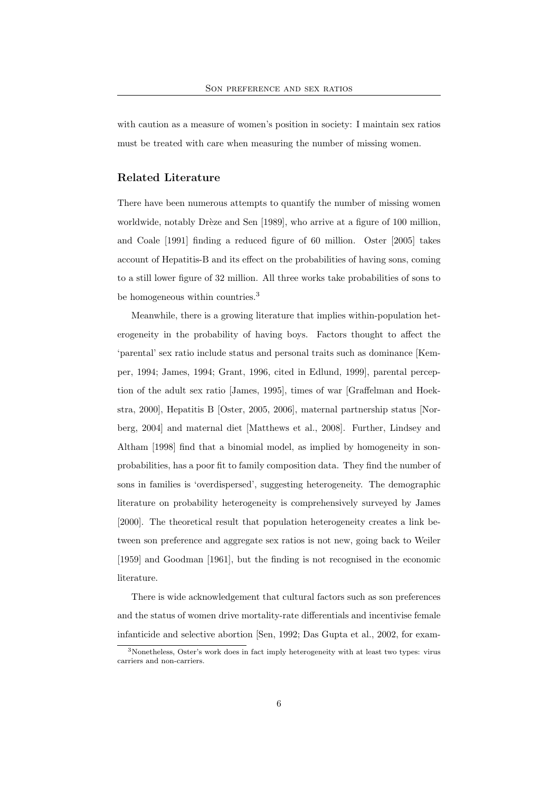with caution as a measure of women's position in society: I maintain sex ratios must be treated with care when measuring the number of missing women.

### Related Literature

There have been numerous attempts to quantify the number of missing women worldwide, notably Drèze and Sen [1989], who arrive at a figure of 100 million, and Coale [1991] finding a reduced figure of 60 million. Oster [2005] takes account of Hepatitis-B and its effect on the probabilities of having sons, coming to a still lower figure of 32 million. All three works take probabilities of sons to be homogeneous within countries.<sup>3</sup>

Meanwhile, there is a growing literature that implies within-population heterogeneity in the probability of having boys. Factors thought to affect the 'parental' sex ratio include status and personal traits such as dominance [Kemper, 1994; James, 1994; Grant, 1996, cited in Edlund, 1999], parental perception of the adult sex ratio [James, 1995], times of war [Graffelman and Hoekstra, 2000], Hepatitis B [Oster, 2005, 2006], maternal partnership status [Norberg, 2004] and maternal diet [Matthews et al., 2008]. Further, Lindsey and Altham [1998] find that a binomial model, as implied by homogeneity in sonprobabilities, has a poor fit to family composition data. They find the number of sons in families is 'overdispersed', suggesting heterogeneity. The demographic literature on probability heterogeneity is comprehensively surveyed by James [2000]. The theoretical result that population heterogeneity creates a link between son preference and aggregate sex ratios is not new, going back to Weiler [1959] and Goodman [1961], but the finding is not recognised in the economic literature.

There is wide acknowledgement that cultural factors such as son preferences and the status of women drive mortality-rate differentials and incentivise female infanticide and selective abortion [Sen, 1992; Das Gupta et al., 2002, for exam-

<sup>3</sup>Nonetheless, Oster's work does in fact imply heterogeneity with at least two types: virus carriers and non-carriers.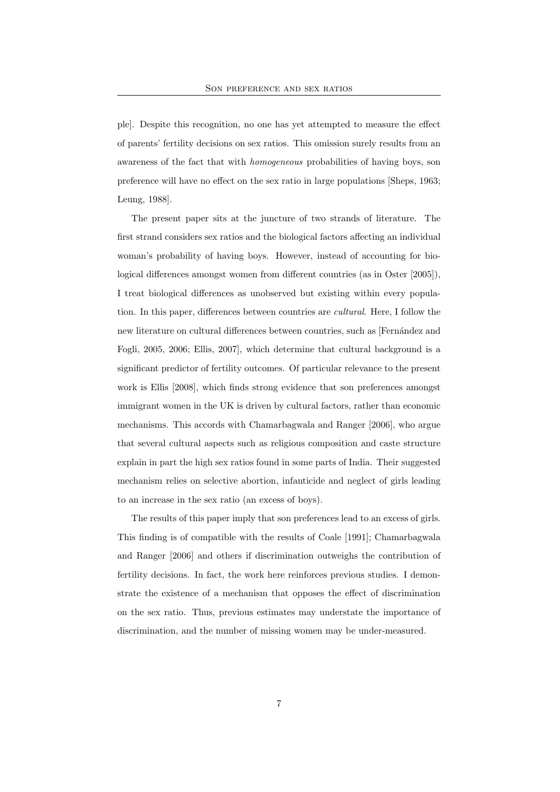ple]. Despite this recognition, no one has yet attempted to measure the effect of parents' fertility decisions on sex ratios. This omission surely results from an awareness of the fact that with homogeneous probabilities of having boys, son preference will have no effect on the sex ratio in large populations [Sheps, 1963; Leung, 1988].

The present paper sits at the juncture of two strands of literature. The first strand considers sex ratios and the biological factors affecting an individual woman's probability of having boys. However, instead of accounting for biological differences amongst women from different countries (as in Oster [2005]), I treat biological differences as unobserved but existing within every population. In this paper, differences between countries are cultural. Here, I follow the new literature on cultural differences between countries, such as [Fernández and Fogli, 2005, 2006; Ellis, 2007], which determine that cultural background is a significant predictor of fertility outcomes. Of particular relevance to the present work is Ellis [2008], which finds strong evidence that son preferences amongst immigrant women in the UK is driven by cultural factors, rather than economic mechanisms. This accords with Chamarbagwala and Ranger [2006], who argue that several cultural aspects such as religious composition and caste structure explain in part the high sex ratios found in some parts of India. Their suggested mechanism relies on selective abortion, infanticide and neglect of girls leading to an increase in the sex ratio (an excess of boys).

The results of this paper imply that son preferences lead to an excess of girls. This finding is of compatible with the results of Coale [1991]; Chamarbagwala and Ranger [2006] and others if discrimination outweighs the contribution of fertility decisions. In fact, the work here reinforces previous studies. I demonstrate the existence of a mechanism that opposes the effect of discrimination on the sex ratio. Thus, previous estimates may understate the importance of discrimination, and the number of missing women may be under-measured.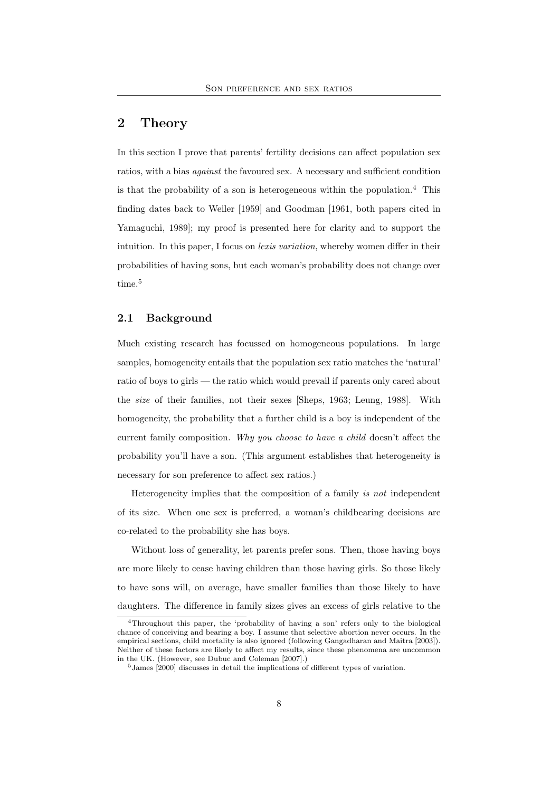### 2 Theory

In this section I prove that parents' fertility decisions can affect population sex ratios, with a bias *against* the favoured sex. A necessary and sufficient condition is that the probability of a son is heterogeneous within the population.<sup>4</sup> This finding dates back to Weiler [1959] and Goodman [1961, both papers cited in Yamaguchi, 1989]; my proof is presented here for clarity and to support the intuition. In this paper, I focus on *lexis variation*, whereby women differ in their probabilities of having sons, but each woman's probability does not change over time.<sup>5</sup>

### 2.1 Background

Much existing research has focussed on homogeneous populations. In large samples, homogeneity entails that the population sex ratio matches the 'natural' ratio of boys to girls — the ratio which would prevail if parents only cared about the size of their families, not their sexes [Sheps, 1963; Leung, 1988]. With homogeneity, the probability that a further child is a boy is independent of the current family composition. Why you choose to have a child doesn't affect the probability you'll have a son. (This argument establishes that heterogeneity is necessary for son preference to affect sex ratios.)

Heterogeneity implies that the composition of a family is not independent of its size. When one sex is preferred, a woman's childbearing decisions are co-related to the probability she has boys.

Without loss of generality, let parents prefer sons. Then, those having boys are more likely to cease having children than those having girls. So those likely to have sons will, on average, have smaller families than those likely to have daughters. The difference in family sizes gives an excess of girls relative to the

<sup>4</sup>Throughout this paper, the 'probability of having a son' refers only to the biological chance of conceiving and bearing a boy. I assume that selective abortion never occurs. In the empirical sections, child mortality is also ignored (following Gangadharan and Maitra [2003]). Neither of these factors are likely to affect my results, since these phenomena are uncommon in the UK. (However, see Dubuc and Coleman [2007].)

<sup>5</sup>James [2000] discusses in detail the implications of different types of variation.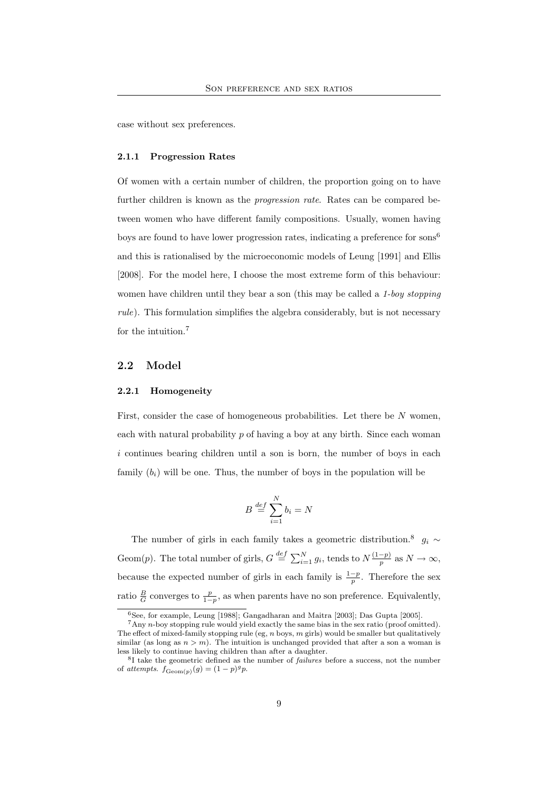case without sex preferences.

#### 2.1.1 Progression Rates

Of women with a certain number of children, the proportion going on to have further children is known as the *progression rate*. Rates can be compared between women who have different family compositions. Usually, women having boys are found to have lower progression rates, indicating a preference for sons<sup>6</sup> and this is rationalised by the microeconomic models of Leung [1991] and Ellis [2008]. For the model here, I choose the most extreme form of this behaviour: women have children until they bear a son (this may be called a 1-boy stopping rule). This formulation simplifies the algebra considerably, but is not necessary for the intuition.<sup>7</sup>

### 2.2 Model

#### 2.2.1 Homogeneity

First, consider the case of homogeneous probabilities. Let there be  $N$  women, each with natural probability  $p$  of having a boy at any birth. Since each woman i continues bearing children until a son is born, the number of boys in each family  $(b_i)$  will be one. Thus, the number of boys in the population will be

$$
B \stackrel{def}{=} \sum_{i=1}^{N} b_i = N
$$

The number of girls in each family takes a geometric distribution.<sup>8</sup>  $g_i \sim$ Geom(p). The total number of girls,  $G \stackrel{def}{=} \sum_{i=1}^{N} g_i$ , tends to  $N \frac{(1-p)}{p}$  $\frac{-p}{p}$  as  $N \to \infty$ , because the expected number of girls in each family is  $\frac{1-p}{p}$ . Therefore the sex ratio  $\frac{B}{G}$  converges to  $\frac{p}{1-p}$ , as when parents have no son preference. Equivalently,

 $6$ See, for example, Leung [1988]; Gangadharan and Maitra [2003]; Das Gupta [2005].

<sup>7</sup>Any n-boy stopping rule would yield exactly the same bias in the sex ratio (proof omitted). The effect of mixed-family stopping rule (eg,  $n$  boys,  $m$  girls) would be smaller but qualitatively similar (as long as  $n > m$ ). The intuition is unchanged provided that after a son a woman is less likely to continue having children than after a daughter.

<sup>&</sup>lt;sup>8</sup>I take the geometric defined as the number of *failures* before a success, not the number of attempts.  $f_{\text{Geom}(p)}(g) = (1-p)^{g} p$ .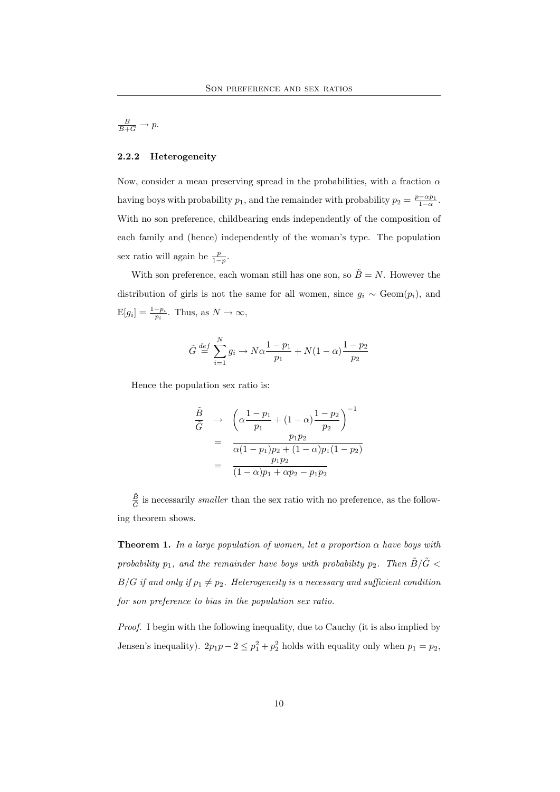# $rac{B}{B+G} \to p.$

#### 2.2.2 Heterogeneity

Now, consider a mean preserving spread in the probabilities, with a fraction  $\alpha$ having boys with probability  $p_1$ , and the remainder with probability  $p_2 = \frac{p - \alpha p_1}{1 - \alpha}$ . With no son preference, childbearing ends independently of the composition of each family and (hence) independently of the woman's type. The population sex ratio will again be  $\frac{p}{1-p}$ .

With son preference, each woman still has one son, so  $\tilde{B} = N$ . However the distribution of girls is not the same for all women, since  $g_i \sim \text{Geom}(p_i)$ , and  $E[g_i] = \frac{1-p_i}{p_i}$ . Thus, as  $N \to \infty$ ,

$$
\tilde{G} \stackrel{def}{=} \sum_{i=1}^{N} g_i \to N\alpha \frac{1 - p_1}{p_1} + N(1 - \alpha) \frac{1 - p_2}{p_2}
$$

Hence the population sex ratio is:

$$
\frac{\tilde{B}}{\tilde{G}} \rightarrow \left( \alpha \frac{1 - p_1}{p_1} + (1 - \alpha) \frac{1 - p_2}{p_2} \right)^{-1} \n= \frac{p_1 p_2}{\alpha (1 - p_1) p_2 + (1 - \alpha) p_1 (1 - p_2)} \n= \frac{p_1 p_2}{(1 - \alpha) p_1 + \alpha p_2 - p_1 p_2}
$$

 $\tilde{B}$  $\frac{B}{\tilde{G}}$  is necessarily *smaller* than the sex ratio with no preference, as the following theorem shows.

**Theorem 1.** In a large population of women, let a proportion  $\alpha$  have boys with probability  $p_1$ , and the remainder have boys with probability  $p_2$ . Then  $\tilde{B}/\tilde{G}$  <  $B/G$  if and only if  $p_1 \neq p_2$ . Heterogeneity is a necessary and sufficient condition for son preference to bias in the population sex ratio.

Proof. I begin with the following inequality, due to Cauchy (it is also implied by Jensen's inequality).  $2p_1p - 2 \leq p_1^2 + p_2^2$  holds with equality only when  $p_1 = p_2$ ,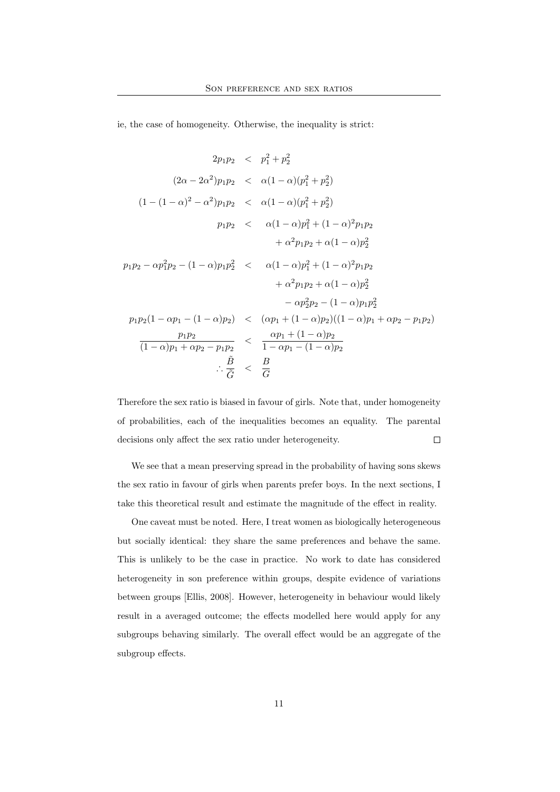ie, the case of homogeneity. Otherwise, the inequality is strict:

$$
2p_1p_2 \leq p_1^2 + p_2^2
$$
  
\n
$$
(2\alpha - 2\alpha^2)p_1p_2 \leq \alpha(1 - \alpha)(p_1^2 + p_2^2)
$$
  
\n
$$
(1 - (1 - \alpha)^2 - \alpha^2)p_1p_2 \leq \alpha(1 - \alpha)(p_1^2 + p_2^2)
$$
  
\n
$$
p_1p_2 \leq \alpha(1 - \alpha)p_1^2 + (1 - \alpha)^2p_1p_2
$$
  
\n
$$
+ \alpha^2p_1p_2 + \alpha(1 - \alpha)p_2^2
$$
  
\n
$$
p_1p_2 - \alpha p_1^2p_2 - (1 - \alpha)p_1p_2^2 \leq \alpha(1 - \alpha)p_1^2 + (1 - \alpha)^2p_1p_2
$$
  
\n
$$
+ \alpha^2p_1p_2 + \alpha(1 - \alpha)p_2^2
$$
  
\n
$$
- \alpha p_2^2p_2 - (1 - \alpha)p_1p_2^2
$$
  
\n
$$
p_1p_2(1 - \alpha p_1 - (1 - \alpha)p_2) \leq (\alpha p_1 + (1 - \alpha)p_2)((1 - \alpha)p_1 + \alpha p_2 - p_1p_2)
$$
  
\n
$$
\frac{p_1p_2}{(1 - \alpha)p_1 + \alpha p_2 - p_1p_2} \leq \frac{\alpha p_1 + (1 - \alpha)p_2}{1 - \alpha p_1 - (1 - \alpha)p_2}
$$
  
\n
$$
\therefore \frac{\tilde{B}}{\tilde{G}} \leq \frac{B}{G}
$$

Therefore the sex ratio is biased in favour of girls. Note that, under homogeneity of probabilities, each of the inequalities becomes an equality. The parental  $\Box$ decisions only affect the sex ratio under heterogeneity.

We see that a mean preserving spread in the probability of having sons skews the sex ratio in favour of girls when parents prefer boys. In the next sections, I take this theoretical result and estimate the magnitude of the effect in reality.

One caveat must be noted. Here, I treat women as biologically heterogeneous but socially identical: they share the same preferences and behave the same. This is unlikely to be the case in practice. No work to date has considered heterogeneity in son preference within groups, despite evidence of variations between groups [Ellis, 2008]. However, heterogeneity in behaviour would likely result in a averaged outcome; the effects modelled here would apply for any subgroups behaving similarly. The overall effect would be an aggregate of the subgroup effects.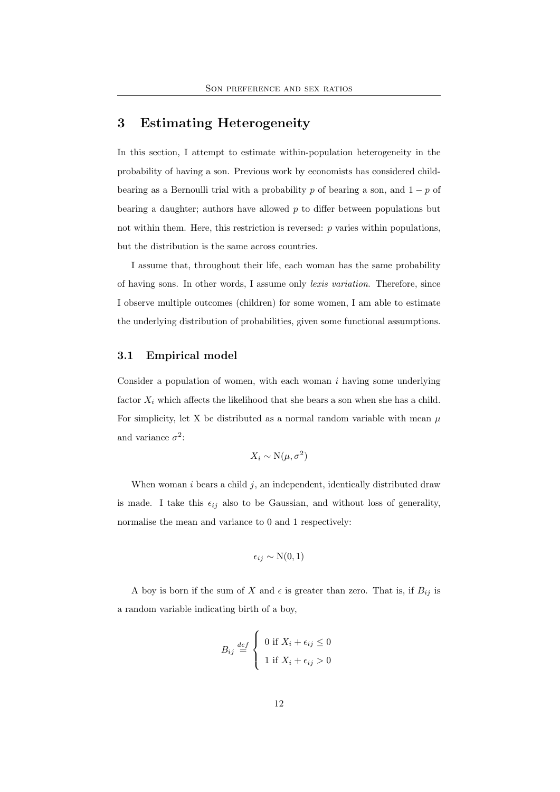# 3 Estimating Heterogeneity

In this section, I attempt to estimate within-population heterogeneity in the probability of having a son. Previous work by economists has considered childbearing as a Bernoulli trial with a probability p of bearing a son, and  $1 - p$  of bearing a daughter; authors have allowed  $p$  to differ between populations but not within them. Here, this restriction is reversed: p varies within populations, but the distribution is the same across countries.

I assume that, throughout their life, each woman has the same probability of having sons. In other words, I assume only lexis variation. Therefore, since I observe multiple outcomes (children) for some women, I am able to estimate the underlying distribution of probabilities, given some functional assumptions.

### 3.1 Empirical model

Consider a population of women, with each woman  $i$  having some underlying factor  $X_i$  which affects the likelihood that she bears a son when she has a child. For simplicity, let X be distributed as a normal random variable with mean  $\mu$ and variance  $\sigma^2$ :

$$
X_i \sim \mathcal{N}(\mu, \sigma^2)
$$

When woman  $i$  bears a child  $j$ , an independent, identically distributed draw is made. I take this  $\epsilon_{ij}$  also to be Gaussian, and without loss of generality, normalise the mean and variance to 0 and 1 respectively:

$$
\epsilon_{ij} \sim \mathcal{N}(0, 1)
$$

A boy is born if the sum of X and  $\epsilon$  is greater than zero. That is, if  $B_{ij}$  is a random variable indicating birth of a boy,

$$
B_{ij} \stackrel{def}{=} \begin{cases} 0 \text{ if } X_i + \epsilon_{ij} \le 0 \\ 1 \text{ if } X_i + \epsilon_{ij} > 0 \end{cases}
$$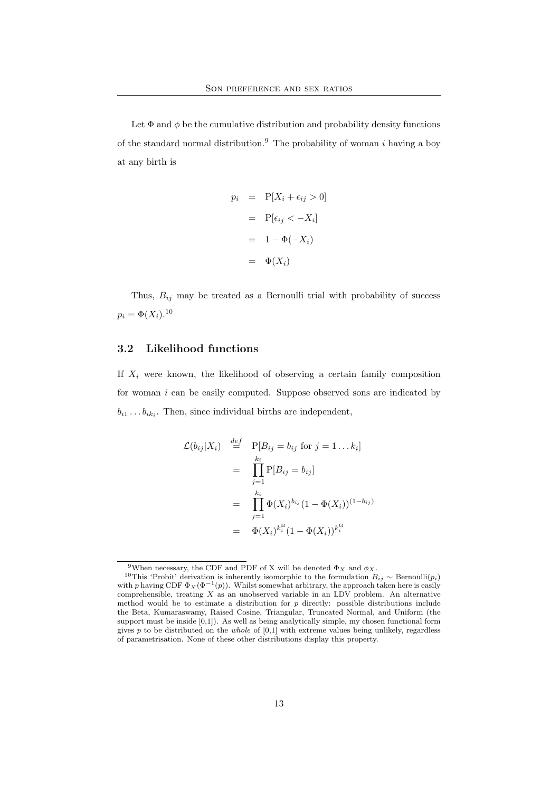Let  $\Phi$  and  $\phi$  be the cumulative distribution and probability density functions of the standard normal distribution.<sup>9</sup> The probability of woman i having a boy at any birth is

$$
p_i = P[X_i + \epsilon_{ij} > 0]
$$

$$
= P[\epsilon_{ij} < -X_i]
$$

$$
= 1 - \Phi(-X_i)
$$

$$
= \Phi(X_i)
$$

Thus,  $B_{ij}$  may be treated as a Bernoulli trial with probability of success  $p_i = \Phi(X_i).^{10}$ 

### 3.2 Likelihood functions

If  $X_i$  were known, the likelihood of observing a certain family composition for woman  $i$  can be easily computed. Suppose observed sons are indicated by  $b_{i1} \dots b_{ik_i}$ . Then, since individual births are independent,

$$
\mathcal{L}(b_{ij}|X_i) \stackrel{def}{=} P[B_{ij} = b_{ij} \text{ for } j = 1 \dots k_i]
$$
  
\n
$$
= \prod_{j=1}^{k_i} P[B_{ij} = b_{ij}]
$$
  
\n
$$
= \prod_{j=1}^{k_i} \Phi(X_i)^{b_{ij}} (1 - \Phi(X_i))^{(1 - b_{ij})}
$$
  
\n
$$
= \Phi(X_i)^{k_i^{\text{B}}} (1 - \Phi(X_i))^{k_i^{\text{G}}}
$$

<sup>&</sup>lt;sup>9</sup>When necessary, the CDF and PDF of X will be denoted  $\Phi_X$  and  $\phi_X$ .

<sup>&</sup>lt;sup>10</sup>This 'Probit' derivation is inherently isomorphic to the formulation  $B_{ij} \sim \text{Bernoulli}(p_i)$ with p having CDF  $\Phi_X(\Phi^{-1}(p))$ . Whilst somewhat arbitrary, the approach taken here is easily comprehensible, treating  $X$  as an unobserved variable in an LDV problem. An alternative method would be to estimate a distribution for  $p$  directly: possible distributions include the Beta, Kumaraswamy, Raised Cosine, Triangular, Truncated Normal, and Uniform (the support must be inside  $[0,1]$ ). As well as being analytically simple, my chosen functional form gives  $p$  to be distributed on the *whole* of  $[0,1]$  with extreme values being unlikely, regardless of parametrisation. None of these other distributions display this property.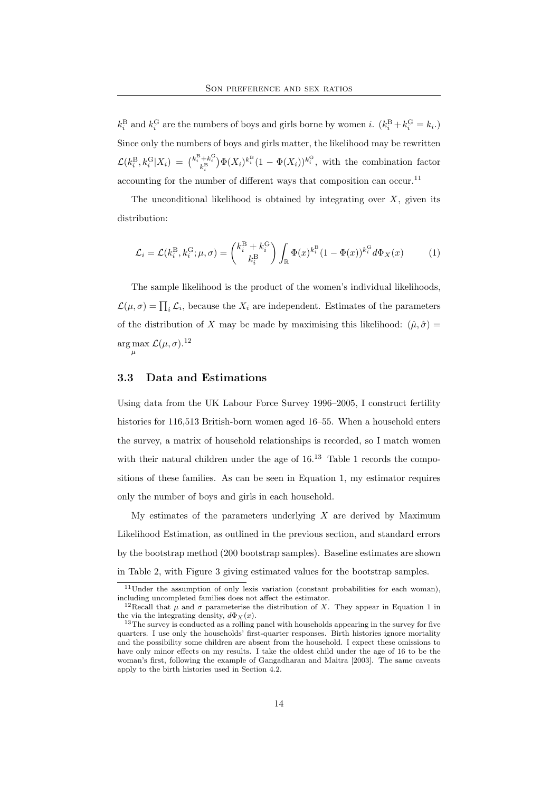$k_i^{\text{B}}$  and  $k_i^{\text{G}}$  are the numbers of boys and girls borne by women *i*.  $(k_i^{\text{B}} + k_i^{\text{G}} = k_i)$ Since only the numbers of boys and girls matter, the likelihood may be rewritten  $\mathcal{L}(k_i^{\rm B}, k_i^{\rm G}|X_i) = {k_i^{\rm B}+k_i^{\rm G} \choose k_i^{\rm B}} \Phi(X_i)^{k_i^{\rm B}} (1-\Phi(X_i))^{k_i^{\rm G}}$ , with the combination factor accounting for the number of different ways that composition can occur.<sup>11</sup>

The unconditional likelihood is obtained by integrating over  $X$ , given its distribution:

$$
\mathcal{L}_i = \mathcal{L}(k_i^{\mathrm{B}}, k_i^{\mathrm{G}}; \mu, \sigma) = \begin{pmatrix} k_i^{\mathrm{B}} + k_i^{\mathrm{G}} \\ k_i^{\mathrm{B}} \end{pmatrix} \int_{\mathbb{R}} \Phi(x)^{k_i^{\mathrm{B}}} (1 - \Phi(x))^{k_i^{\mathrm{G}}} d\Phi_X(x) \tag{1}
$$

The sample likelihood is the product of the women's individual likelihoods,  $\mathcal{L}(\mu, \sigma) = \prod_i \mathcal{L}_i$ , because the  $X_i$  are independent. Estimates of the parameters of the distribution of X may be made by maximising this likelihood:  $(\hat{\mu}, \hat{\sigma}) =$ arg max  $\mathcal{L}(\mu, \sigma)$ .<sup>12</sup> µ

#### 3.3 Data and Estimations

Using data from the UK Labour Force Survey 1996–2005, I construct fertility histories for 116,513 British-born women aged 16–55. When a household enters the survey, a matrix of household relationships is recorded, so I match women with their natural children under the age of  $16<sup>13</sup>$  Table 1 records the compositions of these families. As can be seen in Equation 1, my estimator requires only the number of boys and girls in each household.

My estimates of the parameters underlying  $X$  are derived by Maximum Likelihood Estimation, as outlined in the previous section, and standard errors by the bootstrap method (200 bootstrap samples). Baseline estimates are shown in Table 2, with Figure 3 giving estimated values for the bootstrap samples.

 $11$ Under the assumption of only lexis variation (constant probabilities for each woman), including uncompleted families does not affect the estimator.

<sup>&</sup>lt;sup>12</sup>Recall that  $\mu$  and  $\sigma$  parameterise the distribution of X. They appear in Equation 1 in the via the integrating density,  $d\Phi_X(x)$ .

 $13$ The survey is conducted as a rolling panel with households appearing in the survey for five quarters. I use only the households' first-quarter responses. Birth histories ignore mortality and the possibility some children are absent from the household. I expect these omissions to have only minor effects on my results. I take the oldest child under the age of 16 to be the woman's first, following the example of Gangadharan and Maitra [2003]. The same caveats apply to the birth histories used in Section 4.2.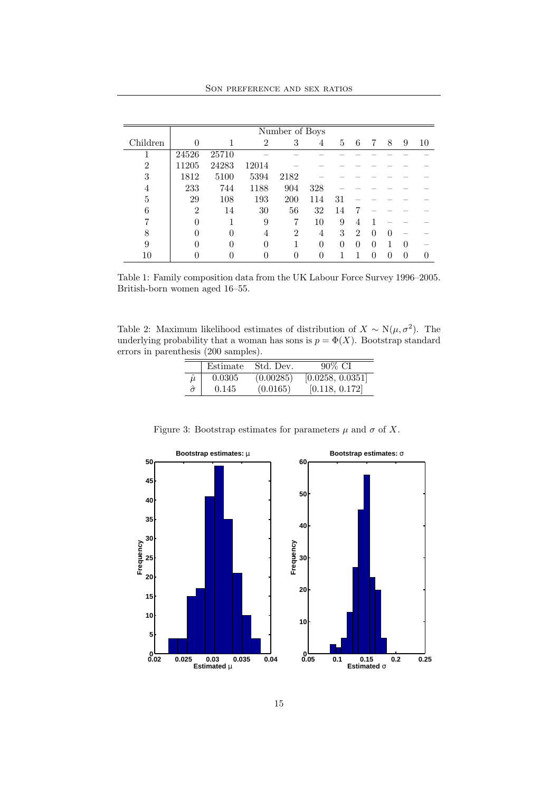SON PREFERENCE AND SEX RATIOS

|                | Number of Boys   |          |                |                |          |          |                |          |          |          |    |
|----------------|------------------|----------|----------------|----------------|----------|----------|----------------|----------|----------|----------|----|
| Children       |                  |          | $\overline{2}$ | 3              | 4        | 5        | 6              |          | 8        | 9        | 10 |
|                | 24526            | 25710    |                |                |          |          |                |          |          |          |    |
| $\overline{2}$ | 11205            | 24283    | 12014          |                |          |          |                |          |          |          |    |
| 3              | 1812             | 5100     | 5394           | 2182           |          |          |                |          |          |          |    |
| 4              | 233              | 744      | 1188           | 904            | 328      |          |                |          |          |          |    |
| 5              | 29               | 108      | 193            | 200            | 114      | 31       |                |          |          |          |    |
| 6              | $\overline{2}$   | 14       | 30             | 56             | 32       | 14       |                |          |          |          |    |
|                | $\left( \right)$ |          | 9              |                | 10       | 9        | 4              |          |          |          |    |
| 8              |                  | $\Omega$ | 4              | $\mathfrak{D}$ | 4        | 3        | $\mathfrak{D}$ | $\Omega$ | $\Omega$ |          |    |
| 9              |                  | $\Omega$ | $\Omega$       |                | $\Omega$ | $\Omega$ | 0              | $\Omega$ |          | $\Omega$ |    |
| 10             |                  |          |                |                |          |          |                | ∩        | 0        | 0        |    |

Table 1: Family composition data from the UK Labour Force Survey 1996–2005. British-born women aged 16–55.

Table 2: Maximum likelihood estimates of distribution of  $X \sim N(\mu, \sigma^2)$ . The underlying probability that a woman has sons is  $p = \Phi(X)$ . Bootstrap standard errors in parenthesis (200 samples).

|             | Estimate | Std. Dev. | $90\%$ CI        |
|-------------|----------|-----------|------------------|
| $\hat{\mu}$ | 0.0305   | (0.00285) | [0.0258, 0.0351] |
|             | 0.145    | (0.0165)  | [0.118, 0.172]   |



Figure 3: Bootstrap estimates for parameters  $\mu$  and  $\sigma$  of X.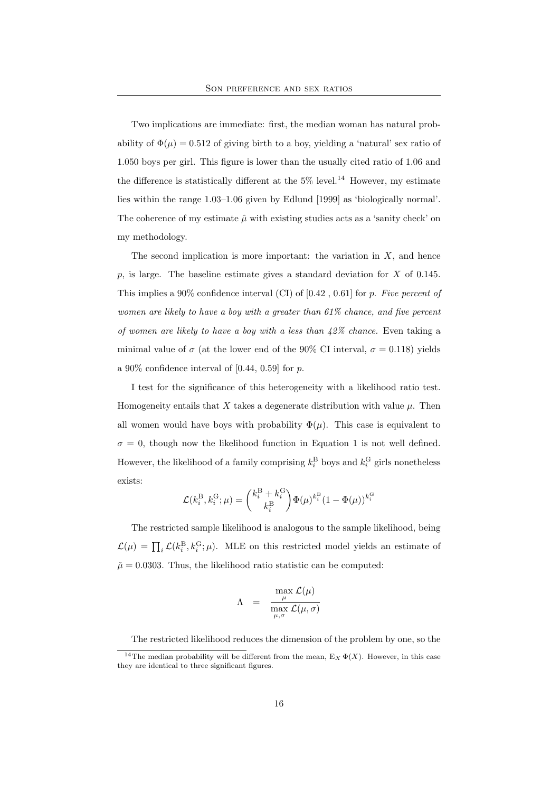Two implications are immediate: first, the median woman has natural probability of  $\Phi(\mu) = 0.512$  of giving birth to a boy, yielding a 'natural' sex ratio of 1.050 boys per girl. This figure is lower than the usually cited ratio of 1.06 and the difference is statistically different at the  $5\%$  level.<sup>14</sup> However, my estimate lies within the range 1.03–1.06 given by Edlund [1999] as 'biologically normal'. The coherence of my estimate  $\hat{\mu}$  with existing studies acts as a 'sanity check' on my methodology.

The second implication is more important: the variation in  $X$ , and hence p, is large. The baseline estimate gives a standard deviation for  $X$  of 0.145. This implies a 90% confidence interval (CI) of  $[0.42, 0.61]$  for p. Five percent of women are likely to have a boy with a greater than 61% chance, and five percent of women are likely to have a boy with a less than  $42\%$  chance. Even taking a minimal value of  $\sigma$  (at the lower end of the 90% CI interval,  $\sigma = 0.118$ ) yields a  $90\%$  confidence interval of [0.44, 0.59] for p.

I test for the significance of this heterogeneity with a likelihood ratio test. Homogeneity entails that X takes a degenerate distribution with value  $\mu$ . Then all women would have boys with probability  $\Phi(\mu)$ . This case is equivalent to  $\sigma = 0$ , though now the likelihood function in Equation 1 is not well defined. However, the likelihood of a family comprising  $k_i^{\text{B}}$  boys and  $k_i^{\text{G}}$  girls nonetheless exists:

$$
\mathcal{L}(k_i^{\mathrm{B}},k_i^{\mathrm{G}};\mu)=\binom{k_i^{\mathrm{B}}+k_i^{\mathrm{G}}}{k_i^{\mathrm{B}}}\Phi(\mu)^{k_i^{\mathrm{B}}}(1-\Phi(\mu))^{k_i^{\mathrm{G}}}
$$

The restricted sample likelihood is analogous to the sample likelihood, being  $\mathcal{L}(\mu) = \prod_i \mathcal{L}(k_i^{\text{B}}, k_i^{\text{G}}; \mu)$ . MLE on this restricted model yields an estimate of  $\tilde{\mu} = 0.0303$ . Thus, the likelihood ratio statistic can be computed:

$$
\Lambda = \frac{\max_{\mu} \mathcal{L}(\mu)}{\max_{\mu, \sigma} \mathcal{L}(\mu, \sigma)}
$$

The restricted likelihood reduces the dimension of the problem by one, so the

<sup>&</sup>lt;sup>14</sup>The median probability will be different from the mean,  $E_X \Phi(X)$ . However, in this case they are identical to three significant figures.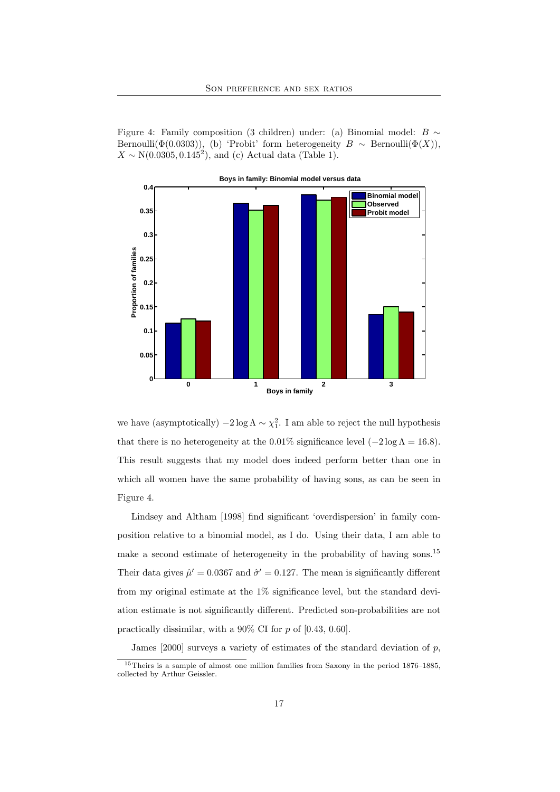Figure 4: Family composition (3 children) under: (a) Binomial model: B  $\sim$ Bernoulli( $\Phi(0.0303)$ ), (b) 'Probit' form heterogeneity  $B \sim \text{Bernoulli}(\Phi(X))$ ,  $X \sim N(0.0305, 0.145^2)$ , and (c) Actual data (Table 1).



we have (asymptotically)  $-2\log \Lambda \sim \chi_1^2$ . I am able to reject the null hypothesis that there is no heterogeneity at the 0.01% significance level  $(-2 \log \Lambda = 16.8)$ . This result suggests that my model does indeed perform better than one in which all women have the same probability of having sons, as can be seen in Figure 4.

Lindsey and Altham [1998] find significant 'overdispersion' in family composition relative to a binomial model, as I do. Using their data, I am able to make a second estimate of heterogeneity in the probability of having sons.<sup>15</sup> Their data gives  $\hat{\mu}' = 0.0367$  and  $\hat{\sigma}' = 0.127$ . The mean is significantly different from my original estimate at the 1% significance level, but the standard deviation estimate is not significantly different. Predicted son-probabilities are not practically dissimilar, with a 90% CI for p of [0.43, 0.60].

James  $[2000]$  surveys a variety of estimates of the standard deviation of p,

<sup>&</sup>lt;sup>15</sup>Theirs is a sample of almost one million families from Saxony in the period 1876–1885, collected by Arthur Geissler.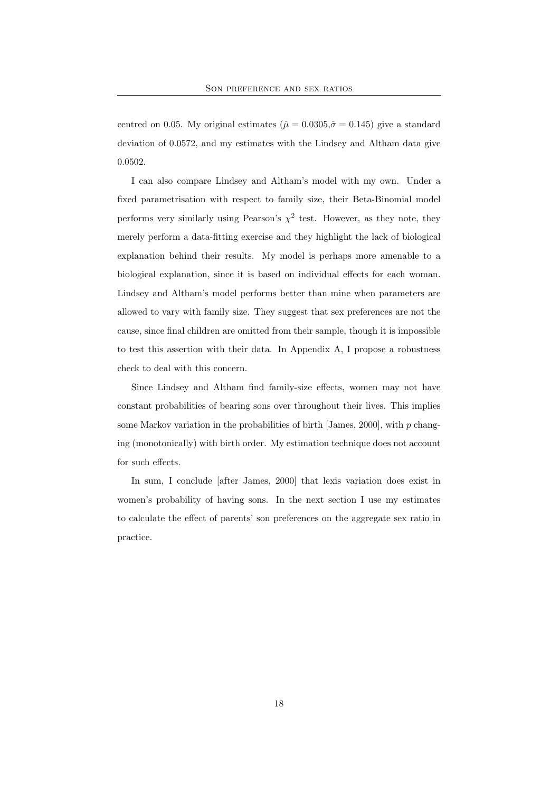centred on 0.05. My original estimates ( $\hat{\mu} = 0.0305, \hat{\sigma} = 0.145$ ) give a standard deviation of 0.0572, and my estimates with the Lindsey and Altham data give 0.0502.

I can also compare Lindsey and Altham's model with my own. Under a fixed parametrisation with respect to family size, their Beta-Binomial model performs very similarly using Pearson's  $\chi^2$  test. However, as they note, they merely perform a data-fitting exercise and they highlight the lack of biological explanation behind their results. My model is perhaps more amenable to a biological explanation, since it is based on individual effects for each woman. Lindsey and Altham's model performs better than mine when parameters are allowed to vary with family size. They suggest that sex preferences are not the cause, since final children are omitted from their sample, though it is impossible to test this assertion with their data. In Appendix A, I propose a robustness check to deal with this concern.

Since Lindsey and Altham find family-size effects, women may not have constant probabilities of bearing sons over throughout their lives. This implies some Markov variation in the probabilities of birth [James, 2000], with  $p$  changing (monotonically) with birth order. My estimation technique does not account for such effects.

In sum, I conclude [after James, 2000] that lexis variation does exist in women's probability of having sons. In the next section I use my estimates to calculate the effect of parents' son preferences on the aggregate sex ratio in practice.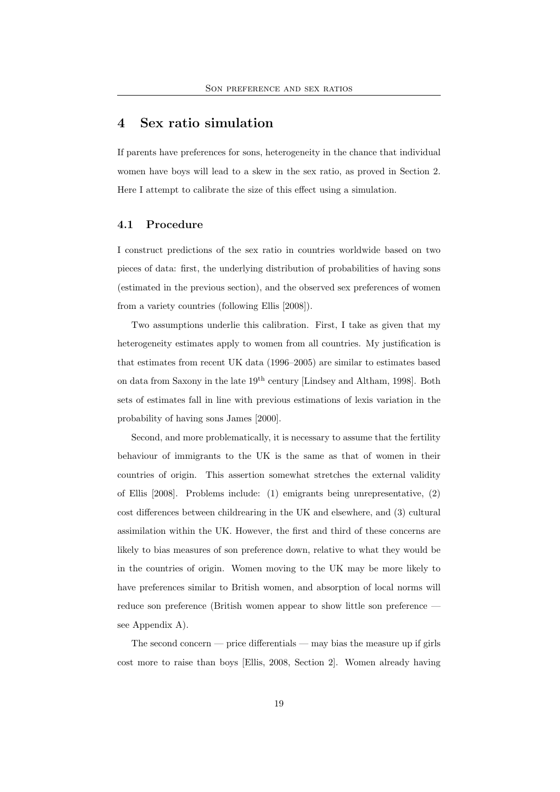## 4 Sex ratio simulation

If parents have preferences for sons, heterogeneity in the chance that individual women have boys will lead to a skew in the sex ratio, as proved in Section 2. Here I attempt to calibrate the size of this effect using a simulation.

#### 4.1 Procedure

I construct predictions of the sex ratio in countries worldwide based on two pieces of data: first, the underlying distribution of probabilities of having sons (estimated in the previous section), and the observed sex preferences of women from a variety countries (following Ellis [2008]).

Two assumptions underlie this calibration. First, I take as given that my heterogeneity estimates apply to women from all countries. My justification is that estimates from recent UK data (1996–2005) are similar to estimates based on data from Saxony in the late  $19<sup>th</sup>$  century [Lindsey and Altham, 1998]. Both sets of estimates fall in line with previous estimations of lexis variation in the probability of having sons James [2000].

Second, and more problematically, it is necessary to assume that the fertility behaviour of immigrants to the UK is the same as that of women in their countries of origin. This assertion somewhat stretches the external validity of Ellis [2008]. Problems include: (1) emigrants being unrepresentative, (2) cost differences between childrearing in the UK and elsewhere, and (3) cultural assimilation within the UK. However, the first and third of these concerns are likely to bias measures of son preference down, relative to what they would be in the countries of origin. Women moving to the UK may be more likely to have preferences similar to British women, and absorption of local norms will reduce son preference (British women appear to show little son preference see Appendix A).

The second concern — price differentials — may bias the measure up if girls cost more to raise than boys [Ellis, 2008, Section 2]. Women already having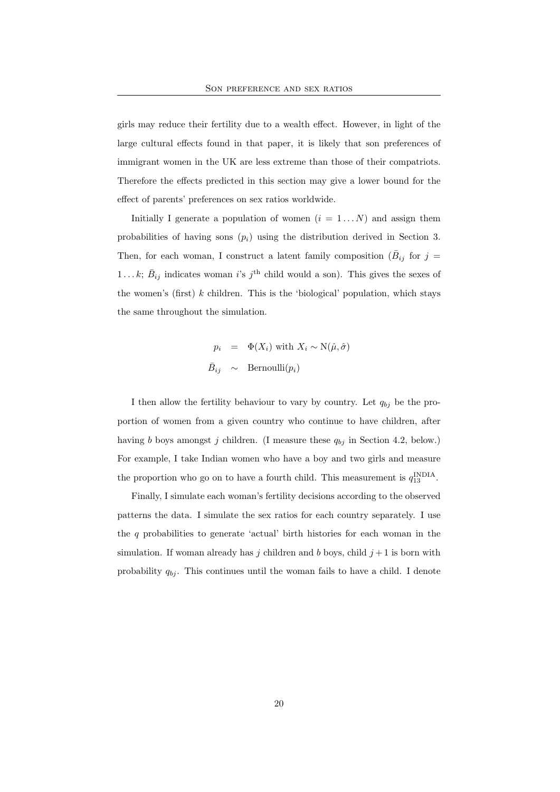girls may reduce their fertility due to a wealth effect. However, in light of the large cultural effects found in that paper, it is likely that son preferences of immigrant women in the UK are less extreme than those of their compatriots. Therefore the effects predicted in this section may give a lower bound for the effect of parents' preferences on sex ratios worldwide.

Initially I generate a population of women  $(i = 1...N)$  and assign them probabilities of having sons  $(p_i)$  using the distribution derived in Section 3. Then, for each woman, I construct a latent family composition  $(\bar{B}_{ij})$  for  $j =$ 1...k;  $\bar{B}_{ij}$  indicates woman i's j<sup>th</sup> child would a son). This gives the sexes of the women's (first)  $k$  children. This is the 'biological' population, which stays the same throughout the simulation.

$$
p_i = \Phi(X_i) \text{ with } X_i \sim \text{N}(\hat{\mu}, \hat{\sigma})
$$
  

$$
\bar{B}_{ij} \sim \text{Bernoulli}(p_i)
$$

I then allow the fertility behaviour to vary by country. Let  $q_{bj}$  be the proportion of women from a given country who continue to have children, after having b boys amongst j children. (I measure these  $q_{bj}$  in Section 4.2, below.) For example, I take Indian women who have a boy and two girls and measure the proportion who go on to have a fourth child. This measurement is  $q_{13}^{\text{INDIA}}$ .

Finally, I simulate each woman's fertility decisions according to the observed patterns the data. I simulate the sex ratios for each country separately. I use the  $q$  probabilities to generate 'actual' birth histories for each woman in the simulation. If woman already has j children and b boys, child  $j+1$  is born with probability  $q_{bj}$ . This continues until the woman fails to have a child. I denote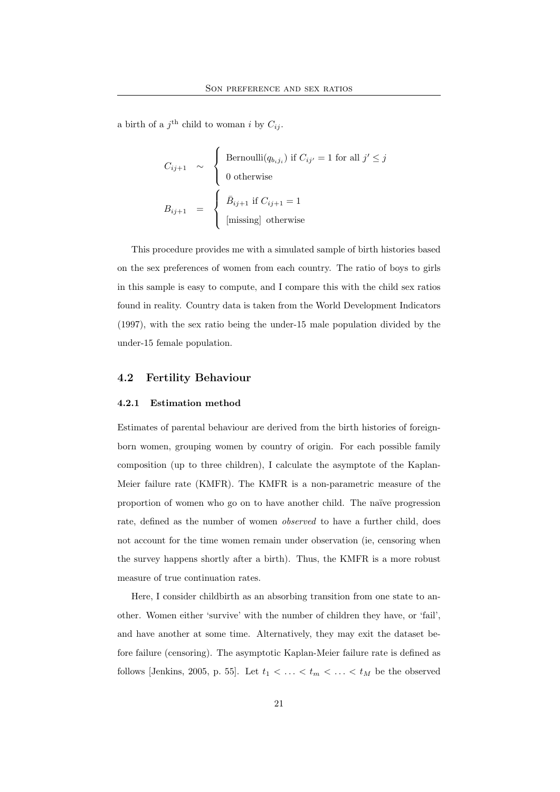a birth of a  $j^{\text{th}}$  child to woman i by  $C_{ij}$ .

$$
C_{ij+1} \sim \begin{cases} \text{Bernoulli}(q_{b_ij_i}) \text{ if } C_{ij'} = 1 \text{ for all } j' \le j \\ 0 \text{ otherwise} \end{cases}
$$
  

$$
B_{ij+1} = \begin{cases} \bar{B}_{ij+1} \text{ if } C_{ij+1} = 1 \\ \text{[missing] otherwise} \end{cases}
$$

This procedure provides me with a simulated sample of birth histories based on the sex preferences of women from each country. The ratio of boys to girls in this sample is easy to compute, and I compare this with the child sex ratios found in reality. Country data is taken from the World Development Indicators (1997), with the sex ratio being the under-15 male population divided by the under-15 female population.

### 4.2 Fertility Behaviour

#### 4.2.1 Estimation method

Estimates of parental behaviour are derived from the birth histories of foreignborn women, grouping women by country of origin. For each possible family composition (up to three children), I calculate the asymptote of the Kaplan-Meier failure rate (KMFR). The KMFR is a non-parametric measure of the proportion of women who go on to have another child. The naïve progression rate, defined as the number of women observed to have a further child, does not account for the time women remain under observation (ie, censoring when the survey happens shortly after a birth). Thus, the KMFR is a more robust measure of true continuation rates.

Here, I consider childbirth as an absorbing transition from one state to another. Women either 'survive' with the number of children they have, or 'fail', and have another at some time. Alternatively, they may exit the dataset before failure (censoring). The asymptotic Kaplan-Meier failure rate is defined as follows [Jenkins, 2005, p. 55]. Let  $t_1 < \ldots < t_m < \ldots < t_M$  be the observed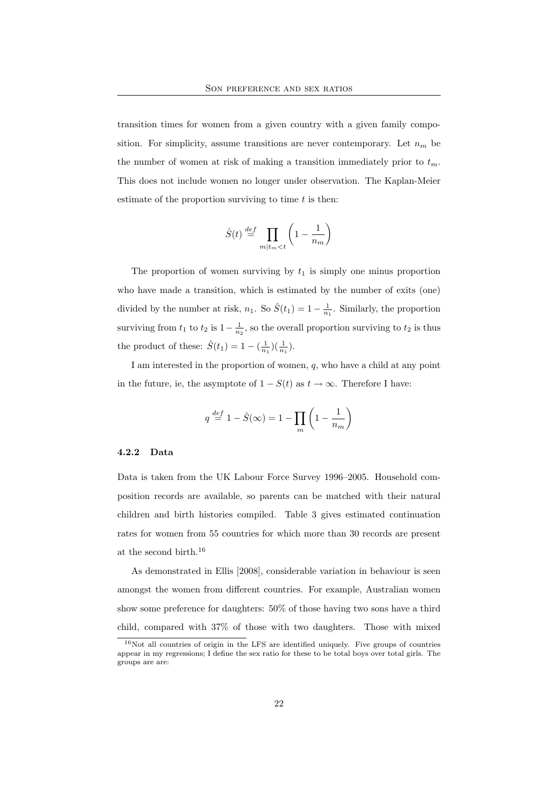transition times for women from a given country with a given family composition. For simplicity, assume transitions are never contemporary. Let  $n_m$  be the number of women at risk of making a transition immediately prior to  $t_m$ . This does not include women no longer under observation. The Kaplan-Meier estimate of the proportion surviving to time  $t$  is then:

$$
\hat{S}(t) \stackrel{def}{=} \prod_{m \mid t_m < t} \left( 1 - \frac{1}{n_m} \right)
$$

The proportion of women surviving by  $t_1$  is simply one minus proportion who have made a transition, which is estimated by the number of exits (one) divided by the number at risk,  $n_1$ . So  $\hat{S}(t_1) = 1 - \frac{1}{n_1}$ . Similarly, the proportion surviving from  $t_1$  to  $t_2$  is  $1-\frac{1}{n_2}$ , so the overall proportion surviving to  $t_2$  is thus the product of these:  $\hat{S}(t_1) = 1 - (\frac{1}{n_1})(\frac{1}{n_1}).$ 

I am interested in the proportion of women, q, who have a child at any point in the future, ie, the asymptote of  $1 - S(t)$  as  $t \to \infty$ . Therefore I have:

$$
q \stackrel{def}{=} 1 - \hat{S}(\infty) = 1 - \prod_{m} \left( 1 - \frac{1}{n_m} \right)
$$

#### 4.2.2 Data

Data is taken from the UK Labour Force Survey 1996–2005. Household composition records are available, so parents can be matched with their natural children and birth histories compiled. Table 3 gives estimated continuation rates for women from 55 countries for which more than 30 records are present at the second birth.<sup>16</sup>

As demonstrated in Ellis [2008], considerable variation in behaviour is seen amongst the women from different countries. For example, Australian women show some preference for daughters: 50% of those having two sons have a third child, compared with 37% of those with two daughters. Those with mixed

<sup>16</sup>Not all countries of origin in the LFS are identified uniquely. Five groups of countries appear in my regressions; I define the sex ratio for these to be total boys over total girls. The groups are are: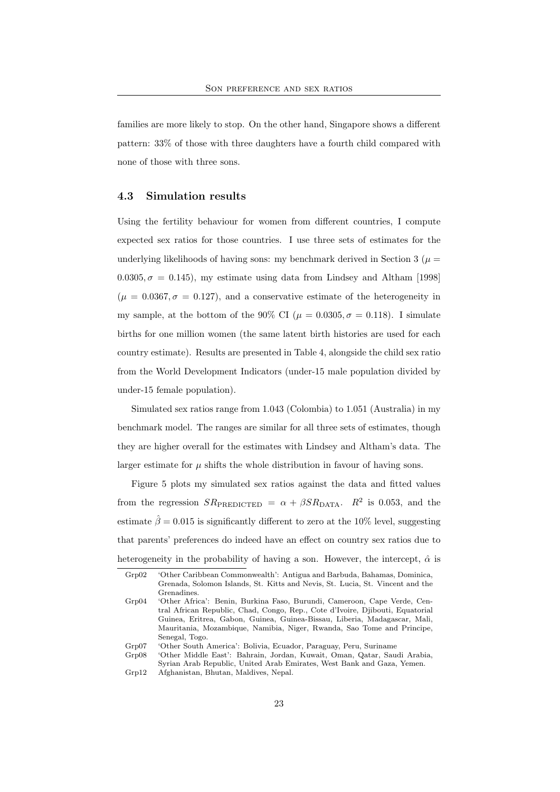families are more likely to stop. On the other hand, Singapore shows a different pattern: 33% of those with three daughters have a fourth child compared with none of those with three sons.

#### 4.3 Simulation results

Using the fertility behaviour for women from different countries, I compute expected sex ratios for those countries. I use three sets of estimates for the underlying likelihoods of having sons: my benchmark derived in Section 3 ( $\mu$  =  $0.0305, \sigma = 0.145$ , my estimate using data from Lindsey and Altham [1998]  $(\mu = 0.0367, \sigma = 0.127)$ , and a conservative estimate of the heterogeneity in my sample, at the bottom of the 90% CI ( $\mu = 0.0305, \sigma = 0.118$ ). I simulate births for one million women (the same latent birth histories are used for each country estimate). Results are presented in Table 4, alongside the child sex ratio from the World Development Indicators (under-15 male population divided by under-15 female population).

Simulated sex ratios range from 1.043 (Colombia) to 1.051 (Australia) in my benchmark model. The ranges are similar for all three sets of estimates, though they are higher overall for the estimates with Lindsey and Altham's data. The larger estimate for  $\mu$  shifts the whole distribution in favour of having sons.

Figure 5 plots my simulated sex ratios against the data and fitted values from the regression  $SR_{\text{PREDICTED}} = \alpha + \beta SR_{\text{DATA}}$ .  $R^2$  is 0.053, and the estimate  $\hat{\beta} = 0.015$  is significantly different to zero at the 10% level, suggesting that parents' preferences do indeed have an effect on country sex ratios due to heterogeneity in the probability of having a son. However, the intercept,  $\hat{\alpha}$  is

Grp07 'Other South America': Bolivia, Ecuador, Paraguay, Peru, Suriname

Grp02 'Other Caribbean Commonwealth': Antigua and Barbuda, Bahamas, Dominica, Grenada, Solomon Islands, St. Kitts and Nevis, St. Lucia, St. Vincent and the Grenadines.

Grp04 'Other Africa': Benin, Burkina Faso, Burundi, Cameroon, Cape Verde, Central African Republic, Chad, Congo, Rep., Cote d'Ivoire, Djibouti, Equatorial Guinea, Eritrea, Gabon, Guinea, Guinea-Bissau, Liberia, Madagascar, Mali, Mauritania, Mozambique, Namibia, Niger, Rwanda, Sao Tome and Principe, Senegal, Togo.

Grp08 'Other Middle East': Bahrain, Jordan, Kuwait, Oman, Qatar, Saudi Arabia, Syrian Arab Republic, United Arab Emirates, West Bank and Gaza, Yemen. Grp12 Afghanistan, Bhutan, Maldives, Nepal.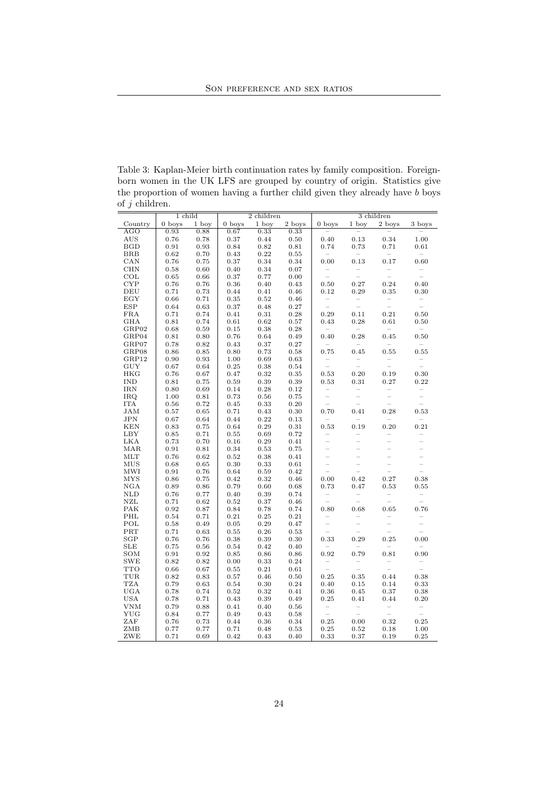Table 3: Kaplan-Meier birth continuation rates by family composition. Foreignborn women in the UK LFS are grouped by country of origin. Statistics give the proportion of women having a further child given they already have b boys of  $j$  children.

| $\sim$ $\sim$ $\sim$ $\sim$<br>1 child |              |              | $\overline{2}$ children |            |            | $\overline{3}$ children         |                                 |                                                   |                                 |
|----------------------------------------|--------------|--------------|-------------------------|------------|------------|---------------------------------|---------------------------------|---------------------------------------------------|---------------------------------|
| Country                                | $0$ boys     | 1 boy        | $0$ boys                | 1 boy      | 2 boys     | $0$ boys                        | 1 boy                           | 2 boys                                            | 3 boys                          |
| AGO                                    | 0.93         | 0.88         | 0.67                    | 0.33       | 0.33       | $\overline{\phantom{a}}$        | $\equiv$                        | $\overline{\phantom{a}}$                          |                                 |
| AUS                                    | 0.76         | 0.78         | 0.37                    | 0.44       | 0.50       | 0.40                            | 0.13                            | 0.34                                              | 1.00                            |
| BGD                                    | 0.91         | 0.93         | 0.84                    | 0.82       | 0.81       | 0.74                            | 0.73                            | 0.71                                              | 0.61                            |
| <b>BRB</b>                             | 0.62         | 0.70         | 0.43                    | 0.22       | 0.55       | $\hspace{0.1mm}-\hspace{0.1mm}$ | $\hspace{0.1mm}-\hspace{0.1mm}$ | $\hspace{0.1mm}-\hspace{0.1mm}$                   | $\overline{\phantom{a}}$        |
| CAN                                    | 0.76         | 0.75         | $0.37\,$                | 0.34       | 0.34       | 0.00                            | 0.13                            | 0.17                                              | 0.60                            |
| CHN                                    | 0.58         | 0.60         | 0.40                    | 0.34       | 0.07       | $\bar{a}$                       | $\overline{\phantom{0}}$        | $\bar{a}$                                         | $\bar{a}$                       |
| COL                                    | 0.65         | 0.66         | 0.37                    | 0.77       | 0.00       |                                 | Ξ                               |                                                   |                                 |
| <b>CYP</b>                             | 0.76         | 0.76         | 0.36                    | 0.40       | 0.43       | 0.50                            | 0.27                            | 0.24                                              | 0.40                            |
| DEU                                    | 0.71         | 0.73         | 0.44                    | 0.41       | 0.46       | 0.12                            | 0.29                            | 0.35                                              | 0.30                            |
| EGY                                    | 0.66         | 0.71         | 0.35                    | 0.52       | 0.46       |                                 |                                 | $\overline{\phantom{a}}$                          |                                 |
| <b>ESP</b>                             | 0.64         | 0.63         | 0.37                    | 0.48       | 0.27       | $\overline{\phantom{a}}$        | $\overline{a}$                  | $\overline{\phantom{0}}$                          | $\overline{a}$                  |
| $_{\rm FRA}$                           | 0.71         | 0.74         | $\rm 0.41$              | $\rm 0.31$ | 0.28       | 0.29                            | 0.11                            | 0.21                                              | 0.50                            |
| GHA                                    | 0.81         | 0.74         | 0.61                    | 0.62       | 0.57       | 0.43                            | 0.28                            | 0.61                                              | 0.50                            |
| GRP02                                  | 0.68         | 0.59         | 0.15                    | 0.38       | 0.28       | $\overline{\phantom{a}}$        | $\sim$                          | $\overline{\phantom{a}}$                          | $\overline{\phantom{0}}$        |
| GRP04                                  | 0.81         | 0.80         | 0.76                    | 0.64       | 0.49       | 0.40                            | 0.28                            | 0.45                                              | 0.50                            |
| GRP07                                  | 0.78         | 0.82         | 0.43                    | 0.37       | 0.27       | $\hspace{0.1mm}-\hspace{0.1mm}$ | $\overline{a}$                  | $\overline{\phantom{0}}$                          | $\sim$                          |
| GRP08                                  | 0.86         | 0.85         | 0.80                    | 0.73       | 0.58       | 0.75                            | 0.45                            | 0.55                                              | 0.55                            |
| GRP12                                  | 0.90         | 0.93         | 1.00                    | 0.69       | 0.63       | $\bar{\mathbb{I}}$              | $\overline{\phantom{a}}$        | $\bar{a}$                                         | $\overline{\phantom{0}}$        |
| GUY                                    | 0.67         | 0.64         | $\rm 0.25$              | 0.38       | 0.54       |                                 | $\frac{1}{2}$                   |                                                   | $\overline{\phantom{0}}$        |
| HKG                                    | 0.76         | 0.67         | 0.47                    | 0.32       | 0.35       | 0.53                            | 0.20                            | 0.19                                              | 0.30                            |
| <b>IND</b>                             | 0.81         | 0.75         | 0.59                    | 0.39       | 0.39       | 0.53                            | 0.31                            | 0.27                                              | 0.22                            |
| <b>IRN</b>                             | 0.80         | 0.69         | 0.14                    | 0.28       | 0.12       | $\bar{a}$                       |                                 | $\bar{a}$                                         | $\overline{\phantom{a}}$        |
| IRQ                                    | 1.00         | 0.81         | 0.73                    | 0.56       | 0.75       |                                 | $\frac{1}{2}$                   |                                                   | $\overline{\phantom{0}}$        |
| <b>ITA</b>                             | 0.56         | 0.72         | $\rm 0.45$              | 0.33       | $0.20\,$   | $\overline{\phantom{0}}$        | $\frac{1}{2}$                   | $\overline{\phantom{0}}$                          | $\overline{\phantom{0}}$        |
| <b>JAM</b>                             | 0.57         | 0.65         | 0.71                    | 0.43       | 0.30       | 0.70                            | 0.41                            | 0.28                                              | 0.53                            |
| JPN                                    | 0.67         | 0.64         | 0.44                    | 0.22       | 0.13       | $\overline{\phantom{a}}$        | $\hspace{0.1mm}-\hspace{0.1mm}$ | $\overline{\phantom{a}}$                          | $\overline{\phantom{0}}$        |
| <b>KEN</b>                             | 0.83         | 0.75         | 0.64                    | 0.29       | 0.31       | 0.53                            | 0.19                            | 0.20                                              | 0.21                            |
| LBY                                    | 0.85         | 0.71         | 0.55                    | 0.69       | 0.72       | $\overline{\phantom{0}}$        |                                 | $\overline{\phantom{0}}$                          | $\overline{\phantom{0}}$        |
| <b>LKA</b>                             | 0.73         | 0.70         | 0.16                    | 0.29       | 0.41       |                                 |                                 | $\frac{1}{2}$                                     | $\frac{1}{\sqrt{2}}$            |
| MAR                                    | 0.91         | 0.81         | 0.34                    | 0.53       | 0.75       | $\overline{a}$                  |                                 | $\overline{a}$                                    |                                 |
| MLT                                    | 0.76         | 0.62         | $\rm 0.52$              | 0.38       | 0.41       |                                 |                                 |                                                   |                                 |
| MUS                                    | 0.68         | 0.65         | 0.30                    | 0.33       | 0.61       | $\overline{a}$                  |                                 | $\overline{a}$                                    |                                 |
| MWI                                    | 0.91         | 0.76         | 0.64                    | 0.59       | 0.42       | $\frac{1}{2}$                   |                                 | $\overline{a}$                                    |                                 |
| <b>MYS</b>                             | 0.86         | 0.75         | 0.42                    | 0.32       | 0.46       | 0.00                            | 0.42                            | 0.27                                              | 0.38                            |
| NGA                                    | 0.89         | 0.86         | 0.79                    | 0.60       | 0.68       | 0.73                            | 0.47                            | 0.53                                              | 0.55                            |
| <b>NLD</b>                             | 0.76         | 0.77         | 0.40                    | 0.39       | 0.74       | $\bar{a}$                       | $\overline{\phantom{a}}$        | $\bar{a}$                                         | $\overline{\phantom{a}}$        |
| NZL                                    | 0.71         | 0.62         | $\rm 0.52$              | 0.37       | 0.46       |                                 |                                 |                                                   | $\overline{a}$                  |
| PAK                                    | 0.92         | 0.87         | 0.84                    | 0.78       | 0.74       | 0.80                            | 0.68                            | 0.65                                              | 0.76                            |
| PHL                                    | 0.54         | 0.71         | 0.21                    | 0.25       | 0.21       | $\overline{\phantom{a}}$        |                                 | $\overline{\phantom{0}}$                          | $\overline{\phantom{0}}$        |
| POL                                    | 0.58         | 0.49         | $\rm 0.05$              | 0.29       | 0.47       | $\frac{1}{2}$<br>$\frac{1}{2}$  | $\overline{\phantom{a}}$        | $\overline{a}$<br>$\overline{a}$                  | $\overline{\phantom{0}}$        |
| PRT                                    | 0.71         | 0.63         | 0.55                    | 0.26       | 0.53       |                                 | $\overline{\phantom{0}}$        |                                                   | $\overline{\phantom{0}}$        |
| SGP                                    | 0.76         | 0.76         | 0.38                    | 0.39       | 0.30       | 0.33                            | 0.29                            | 0.25                                              | 0.00                            |
| <b>SLE</b>                             | 0.75         | 0.56         | 0.54                    | 0.42       | 0.40       | $\hspace{0.1mm}-\hspace{0.1mm}$ | $\sim$                          | $\overline{\phantom{a}}$                          | $\hspace{0.1mm}-\hspace{0.1mm}$ |
| SOM                                    | 0.91         | 0.92         | 0.85                    | 0.86       | 0.86       | 0.92                            | 0.79                            | 0.81                                              | 0.90                            |
| SWE                                    | 0.82         | 0.82         | 0.00                    | 0.33       | 0.24       | $\bar{a}$                       | $\bar{a}$                       | $\bar{\bar{\phantom{a}}}\,$                       | $\bar{a}$                       |
| <b>TTO</b>                             | 0.66         | 0.67         | 0.55                    | 0.21       | 0.61       |                                 |                                 |                                                   |                                 |
| TUR                                    | 0.82         | 0.83         | $\rm 0.57$              | 0.46       | 0.50       | 0.25                            | $\rm 0.35$                      | 0.44                                              | 0.38                            |
| <b>TZA</b>                             | 0.79         | 0.63         | 0.54                    | 0.30       | 0.24       | 0.40                            | 0.15                            | 0.14                                              | 0.33                            |
| UGA                                    | 0.78         | 0.74         | 0.52                    | 0.32       | 0.41       | 0.36                            | 0.45                            | 0.37                                              | 0.38                            |
| <b>USA</b>                             | 0.78<br>0.79 | 0.71<br>0.88 | 0.43                    | 0.39       | 0.49       | 0.25                            | 0.41                            | 0.44                                              | 0.20                            |
| VNM                                    |              |              | 0.41                    | 0.40       | 0.56       | $\bar{\bar{\phantom{a}}}$       | $\overline{\phantom{a}}$        | $\hspace{0.1mm}-\hspace{0.1mm}$<br>$\overline{a}$ | $\bar{\mathbb{I}}$              |
| YUG                                    | 0.84         | 0.77         | 0.49                    | 0.43       | 0.58       |                                 |                                 |                                                   |                                 |
| ZAF                                    | 0.76         | 0.73         | 0.44<br>0.71            | 0.36       | $\rm 0.34$ | 0.25                            | 0.00                            | 0.32                                              | 0.25                            |
| ZMB                                    | 0.77         | 0.77         |                         | 0.48       | 0.53       | 0.25                            | 0.52                            | 0.18                                              | 1.00                            |
| ZWE                                    | 0.71         | 0.69         | 0.42                    | 0.43       | 0.40       | 0.33                            | 0.37                            | 0.19                                              | 0.25                            |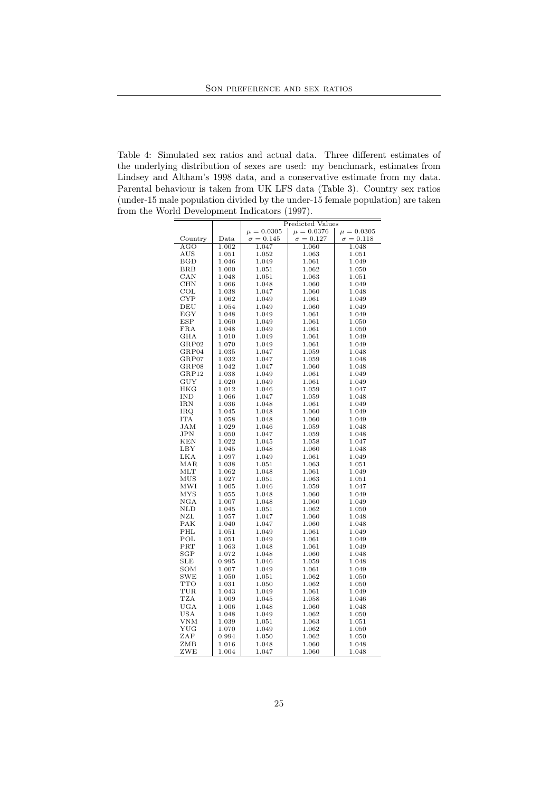Table 4: Simulated sex ratios and actual data. Three different estimates of the underlying distribution of sexes are used: my benchmark, estimates from Lindsey and Altham's 1998 data, and a conservative estimate from my data. Parental behaviour is taken from UK LFS data (Table 3). Country sex ratios (under-15 male population divided by the under-15 female population) are taken from the World Development Indicators (1997).

|              |                  | <b>Predicted Values</b>          |                  |                  |  |  |
|--------------|------------------|----------------------------------|------------------|------------------|--|--|
|              |                  | $\mu = 0.0305$<br>$\mu = 0.0376$ |                  | $\mu = 0.0305$   |  |  |
| Country      | $_{\text{Data}}$ | $\sigma = 0.145$                 | $\sigma = 0.127$ | $\sigma = 0.118$ |  |  |
| AGO          | 1.002            | 1.047                            | 1.060            | 1.048            |  |  |
| <b>AUS</b>   | 1.051            | 1.052                            | 1.063            | 1.051            |  |  |
| <b>BGD</b>   | 1.046            | 1.049                            | 1.061            | 1.049            |  |  |
| <b>BRB</b>   | 1.000            | 1.051                            | 1.062            | 1.050            |  |  |
| CAN          | 1.048            | 1.051                            | 1.063            | 1.051            |  |  |
| CHN          | 1.066            | 1.048                            | 1.060            | 1.049            |  |  |
| $_{\rm COL}$ | 1.038            | 1.047                            | 1.060            | 1.048            |  |  |
| <b>CYP</b>   | 1.062            | 1.049                            | 1.061            | 1.049            |  |  |
| DEU          | 1.054            | 1.049                            | 1.060            | 1.049            |  |  |
| EGY          | 1.048            | 1.049                            | 1.061            | 1.049            |  |  |
| <b>ESP</b>   | 1.060            | 1.049                            | 1.061            | 1.050            |  |  |
| <b>FRA</b>   | 1.048            | 1.049                            | 1.061            | 1.050            |  |  |
| GHA          | 1.010            | 1.049                            | 1.061            | 1.049            |  |  |
| GRP02        | 1.070            | 1.049                            | 1.061            | 1.049            |  |  |
| GRP04        | 1.035            | 1.047                            | 1.059            | 1.048            |  |  |
| GRP07        | 1.032            | 1.047                            | 1.059            | 1.048            |  |  |
| GRP08        | 1.042            | 1.047                            | 1.060            | 1.048            |  |  |
| GRP12        | 1.038            | 1.049                            | 1.061            | 1.049            |  |  |
| GUY          | 1.020            | 1.049                            | 1.061            | 1.049            |  |  |
| <b>HKG</b>   | 1.012            | 1.046                            | 1.059            | 1.047            |  |  |
| IND          | 1.066            | 1.047                            | 1.059            | 1.048            |  |  |
| <b>IRN</b>   | 1.036            | 1.048                            | 1.061            | 1.049            |  |  |
| IRQ          | 1.045            | 1.048                            | 1.060            | 1.049            |  |  |
| <b>ITA</b>   | 1.058            | 1.048                            | 1.060            | 1.049            |  |  |
| JAM          | 1.029            | 1.046                            | 1.059            | 1.048            |  |  |
| JPN          | 1.050            | 1.047                            | 1.059            | 1.048            |  |  |
| <b>KEN</b>   | 1.022            | 1.045                            | 1.058            | 1.047            |  |  |
| LBY          | 1.045            | 1.048                            | 1.060            | 1.048            |  |  |
| LKA          | 1.097            | 1.049                            | 1.061            | 1.049            |  |  |
| MAR          | 1.038            | 1.051                            | 1.063            | 1.051            |  |  |
| <b>MLT</b>   | 1.062            | 1.048                            | 1.061            | 1.049            |  |  |
| MUS          | 1.027            | 1.051                            | 1.063            | 1.051            |  |  |
| MWI          | 1.005            | 1.046                            | 1.059            | 1.047            |  |  |
| <b>MYS</b>   | 1.055            | 1.048                            | 1.060            | 1.049            |  |  |
| $_{\rm NGA}$ | 1.007            | 1.048                            | 1.060            | 1.049            |  |  |
| NLD          | 1.045            | 1.051                            | 1.062            | 1.050            |  |  |
| NZL          | 1.057            | 1.047                            | 1.060            | 1.048            |  |  |
| PAK          | 1.040            | 1.047                            | 1.060            | 1.048            |  |  |
| PHL          | 1.051            | 1.049                            | 1.061            | 1.049            |  |  |
| POL          | 1.051            | 1.049                            | 1.061            | 1.049            |  |  |
| PRT          | 1.063            | 1.048                            | 1.061            | 1.049            |  |  |
| SGP          | 1.072            | 1.048                            | 1.060            | 1.048            |  |  |
| <b>SLE</b>   | 0.995            | 1.046                            | 1.059            | 1.048            |  |  |
| SOM          | 1.007            | 1.049                            | 1.061            | 1.049            |  |  |
| <b>SWE</b>   | 1.050            | 1.051                            | 1.062            | 1.050            |  |  |
| <b>TTO</b>   | 1.031            | 1.050                            | 1.062            | 1.050            |  |  |
| TUR          | 1.043            | 1.049                            | 1.061            | 1.049            |  |  |
| <b>TZA</b>   | 1.009            | 1.045                            | 1.058            | 1.046            |  |  |
| UGA          | 1.006            | 1.048                            | 1.060            | 1.048            |  |  |
| <b>USA</b>   | 1.048            | 1.049                            | 1.062            | 1.050            |  |  |
| VNM          | 1.039            | 1.051                            | 1.063            | 1.051            |  |  |
| YUG          | 1.070            | 1.049                            | 1.062            | 1.050            |  |  |
| ZAF          | 0.994            | 1.050                            | 1.062            | 1.050            |  |  |
| ZMB          | 1.016            | 1.048                            | 1.060            | 1.048            |  |  |
| ZWE          | 1.004            | 1.047                            | 1.060            | 1.048            |  |  |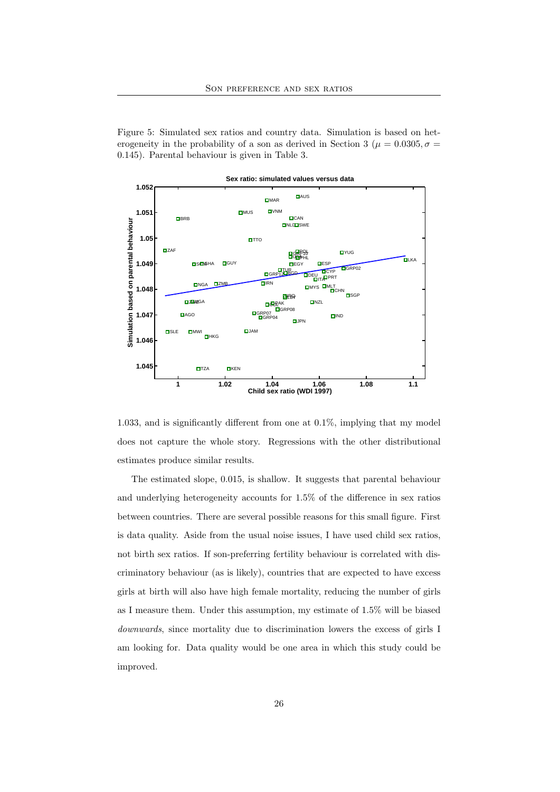Figure 5: Simulated sex ratios and country data. Simulation is based on heterogeneity in the probability of a son as derived in Section 3 ( $\mu = 0.0305, \sigma =$ 0.145). Parental behaviour is given in Table 3.



**Sex ratio: simulated values versus data**

1.033, and is significantly different from one at 0.1%, implying that my model does not capture the whole story. Regressions with the other distributional estimates produce similar results.

The estimated slope, 0.015, is shallow. It suggests that parental behaviour and underlying heterogeneity accounts for 1.5% of the difference in sex ratios between countries. There are several possible reasons for this small figure. First is data quality. Aside from the usual noise issues, I have used child sex ratios, not birth sex ratios. If son-preferring fertility behaviour is correlated with discriminatory behaviour (as is likely), countries that are expected to have excess girls at birth will also have high female mortality, reducing the number of girls as I measure them. Under this assumption, my estimate of 1.5% will be biased downwards, since mortality due to discrimination lowers the excess of girls I am looking for. Data quality would be one area in which this study could be improved.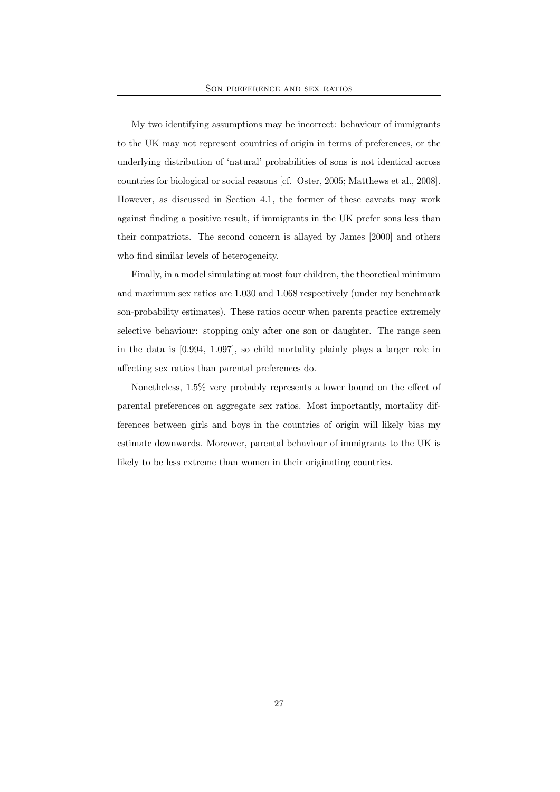My two identifying assumptions may be incorrect: behaviour of immigrants to the UK may not represent countries of origin in terms of preferences, or the underlying distribution of 'natural' probabilities of sons is not identical across countries for biological or social reasons [cf. Oster, 2005; Matthews et al., 2008]. However, as discussed in Section 4.1, the former of these caveats may work against finding a positive result, if immigrants in the UK prefer sons less than their compatriots. The second concern is allayed by James [2000] and others who find similar levels of heterogeneity.

Finally, in a model simulating at most four children, the theoretical minimum and maximum sex ratios are 1.030 and 1.068 respectively (under my benchmark son-probability estimates). These ratios occur when parents practice extremely selective behaviour: stopping only after one son or daughter. The range seen in the data is [0.994, 1.097], so child mortality plainly plays a larger role in affecting sex ratios than parental preferences do.

Nonetheless, 1.5% very probably represents a lower bound on the effect of parental preferences on aggregate sex ratios. Most importantly, mortality differences between girls and boys in the countries of origin will likely bias my estimate downwards. Moreover, parental behaviour of immigrants to the UK is likely to be less extreme than women in their originating countries.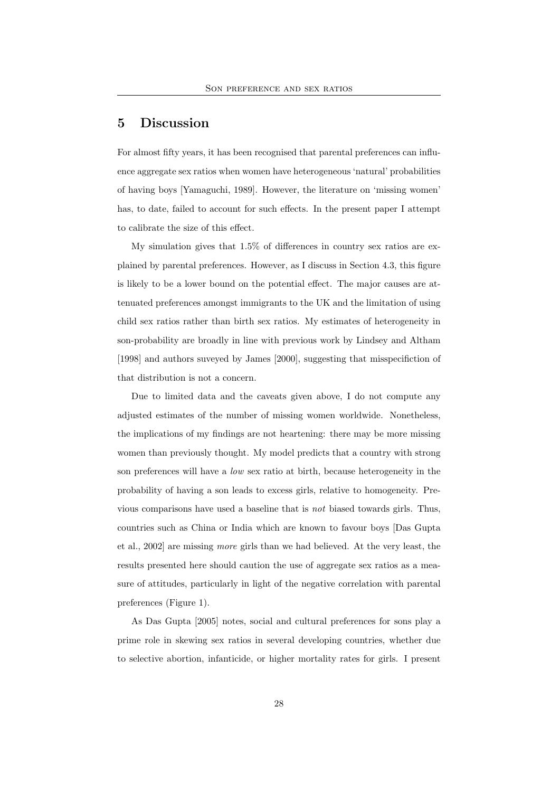### 5 Discussion

For almost fifty years, it has been recognised that parental preferences can influence aggregate sex ratios when women have heterogeneous 'natural' probabilities of having boys [Yamaguchi, 1989]. However, the literature on 'missing women' has, to date, failed to account for such effects. In the present paper I attempt to calibrate the size of this effect.

My simulation gives that 1.5% of differences in country sex ratios are explained by parental preferences. However, as I discuss in Section 4.3, this figure is likely to be a lower bound on the potential effect. The major causes are attenuated preferences amongst immigrants to the UK and the limitation of using child sex ratios rather than birth sex ratios. My estimates of heterogeneity in son-probability are broadly in line with previous work by Lindsey and Altham [1998] and authors suveyed by James [2000], suggesting that misspecifiction of that distribution is not a concern.

Due to limited data and the caveats given above, I do not compute any adjusted estimates of the number of missing women worldwide. Nonetheless, the implications of my findings are not heartening: there may be more missing women than previously thought. My model predicts that a country with strong son preferences will have a low sex ratio at birth, because heterogeneity in the probability of having a son leads to excess girls, relative to homogeneity. Previous comparisons have used a baseline that is not biased towards girls. Thus, countries such as China or India which are known to favour boys [Das Gupta et al., 2002] are missing more girls than we had believed. At the very least, the results presented here should caution the use of aggregate sex ratios as a measure of attitudes, particularly in light of the negative correlation with parental preferences (Figure 1).

As Das Gupta [2005] notes, social and cultural preferences for sons play a prime role in skewing sex ratios in several developing countries, whether due to selective abortion, infanticide, or higher mortality rates for girls. I present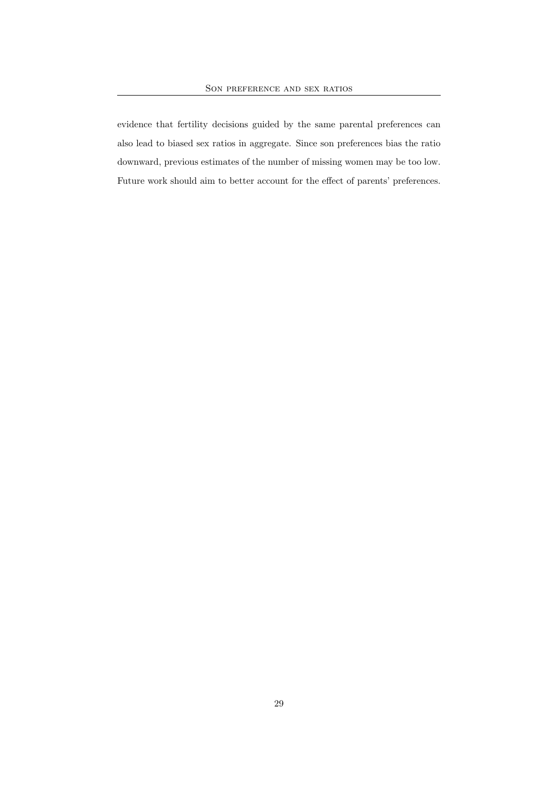evidence that fertility decisions guided by the same parental preferences can also lead to biased sex ratios in aggregate. Since son preferences bias the ratio downward, previous estimates of the number of missing women may be too low. Future work should aim to better account for the effect of parents' preferences.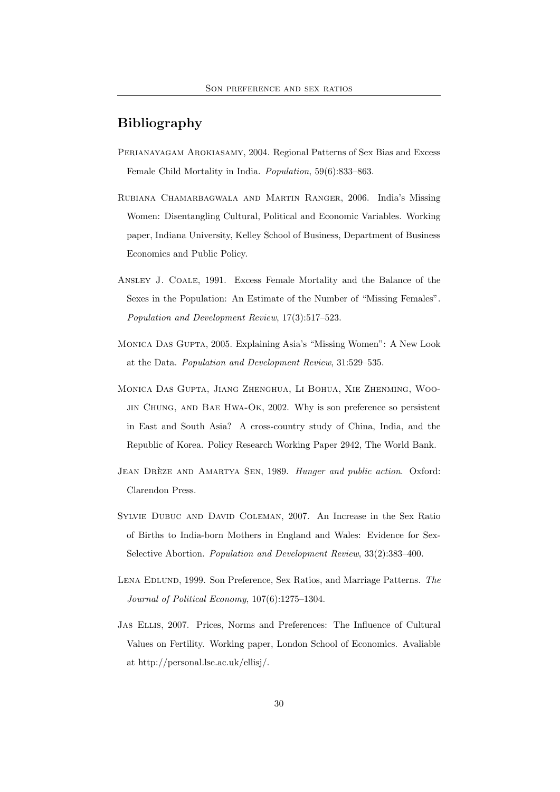# Bibliography

- Perianayagam Arokiasamy, 2004. Regional Patterns of Sex Bias and Excess Female Child Mortality in India. Population, 59(6):833–863.
- Rubiana Chamarbagwala and Martin Ranger, 2006. India's Missing Women: Disentangling Cultural, Political and Economic Variables. Working paper, Indiana University, Kelley School of Business, Department of Business Economics and Public Policy.
- Ansley J. Coale, 1991. Excess Female Mortality and the Balance of the Sexes in the Population: An Estimate of the Number of "Missing Females". Population and Development Review, 17(3):517–523.
- Monica Das Gupta, 2005. Explaining Asia's "Missing Women": A New Look at the Data. Population and Development Review, 31:529–535.
- Monica Das Gupta, Jiang Zhenghua, Li Bohua, Xie Zhenming, Woojin Chung, and Bae Hwa-Ok, 2002. Why is son preference so persistent in East and South Asia? A cross-country study of China, India, and the Republic of Korea. Policy Research Working Paper 2942, The World Bank.
- JEAN DRÈZE AND AMARTYA SEN, 1989. Hunger and public action. Oxford: Clarendon Press.
- Sylvie Dubuc and David Coleman, 2007. An Increase in the Sex Ratio of Births to India-born Mothers in England and Wales: Evidence for Sex-Selective Abortion. Population and Development Review, 33(2):383–400.
- Lena Edlund, 1999. Son Preference, Sex Ratios, and Marriage Patterns. The Journal of Political Economy, 107(6):1275–1304.
- Jas Ellis, 2007. Prices, Norms and Preferences: The Influence of Cultural Values on Fertility. Working paper, London School of Economics. Avaliable at http://personal.lse.ac.uk/ellisj/.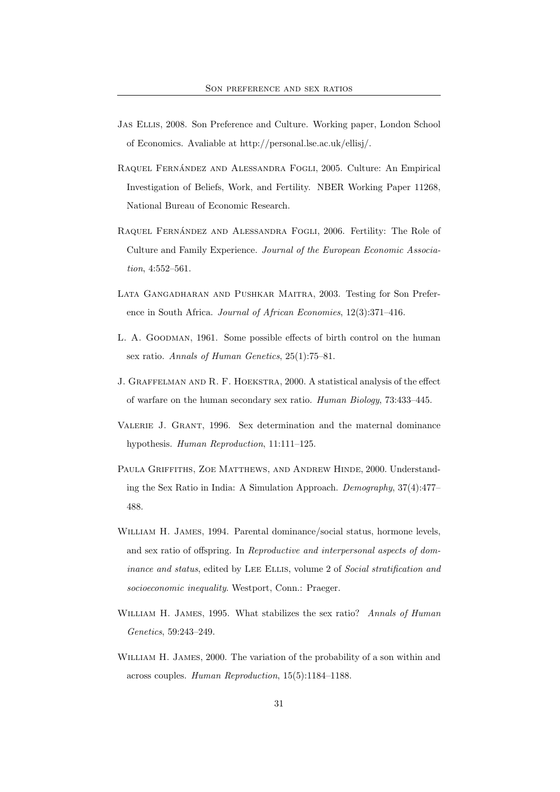- Jas Ellis, 2008. Son Preference and Culture. Working paper, London School of Economics. Avaliable at http://personal.lse.ac.uk/ellisj/.
- RAQUEL FERNÁNDEZ AND ALESSANDRA FOGLI, 2005. Culture: An Empirical Investigation of Beliefs, Work, and Fertility. NBER Working Paper 11268, National Bureau of Economic Research.
- RAQUEL FERNÁNDEZ AND ALESSANDRA FOGLI, 2006. Fertility: The Role of Culture and Family Experience. Journal of the European Economic Association, 4:552–561.
- Lata Gangadharan and Pushkar Maitra, 2003. Testing for Son Preference in South Africa. Journal of African Economies, 12(3):371–416.
- L. A. Goodman, 1961. Some possible effects of birth control on the human sex ratio. Annals of Human Genetics, 25(1):75–81.
- J. Graffelman and R. F. Hoekstra, 2000. A statistical analysis of the effect of warfare on the human secondary sex ratio. Human Biology, 73:433–445.
- Valerie J. Grant, 1996. Sex determination and the maternal dominance hypothesis. Human Reproduction, 11:111–125.
- PAULA GRIFFITHS, ZOE MATTHEWS, AND ANDREW HINDE, 2000. Understanding the Sex Ratio in India: A Simulation Approach. Demography, 37(4):477– 488.
- William H. James, 1994. Parental dominance/social status, hormone levels, and sex ratio of offspring. In Reproductive and interpersonal aspects of dominance and status, edited by LEE ELLIS, volume 2 of Social stratification and socioeconomic inequality. Westport, Conn.: Praeger.
- WILLIAM H. JAMES, 1995. What stabilizes the sex ratio? Annals of Human Genetics, 59:243–249.
- WILLIAM H. JAMES, 2000. The variation of the probability of a son within and across couples. Human Reproduction, 15(5):1184–1188.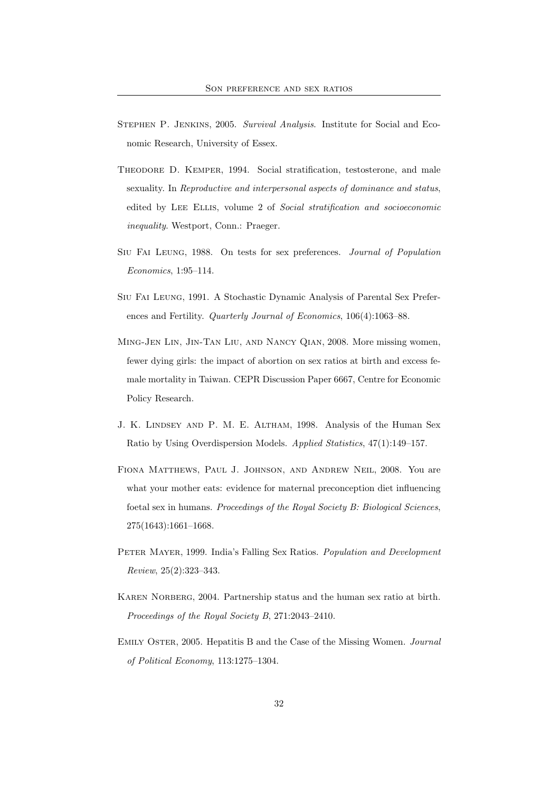- STEPHEN P. JENKINS, 2005. Survival Analysis. Institute for Social and Economic Research, University of Essex.
- THEODORE D. KEMPER, 1994. Social stratification, testosterone, and male sexuality. In Reproductive and interpersonal aspects of dominance and status, edited by LEE ELLIS, volume 2 of Social stratification and socioeconomic inequality. Westport, Conn.: Praeger.
- Siu Fai Leung, 1988. On tests for sex preferences. Journal of Population Economics, 1:95–114.
- Siu Fai Leung, 1991. A Stochastic Dynamic Analysis of Parental Sex Preferences and Fertility. Quarterly Journal of Economics, 106(4):1063–88.
- Ming-Jen Lin, Jin-Tan Liu, and Nancy Qian, 2008. More missing women, fewer dying girls: the impact of abortion on sex ratios at birth and excess female mortality in Taiwan. CEPR Discussion Paper 6667, Centre for Economic Policy Research.
- J. K. Lindsey and P. M. E. Altham, 1998. Analysis of the Human Sex Ratio by Using Overdispersion Models. Applied Statistics, 47(1):149–157.
- Fiona Matthews, Paul J. Johnson, and Andrew Neil, 2008. You are what your mother eats: evidence for maternal preconception diet influencing foetal sex in humans. Proceedings of the Royal Society B: Biological Sciences, 275(1643):1661–1668.
- PETER MAYER, 1999. India's Falling Sex Ratios. Population and Development Review, 25(2):323–343.
- Karen Norberg, 2004. Partnership status and the human sex ratio at birth. Proceedings of the Royal Society B, 271:2043–2410.
- EMILY OSTER, 2005. Hepatitis B and the Case of the Missing Women. Journal of Political Economy, 113:1275–1304.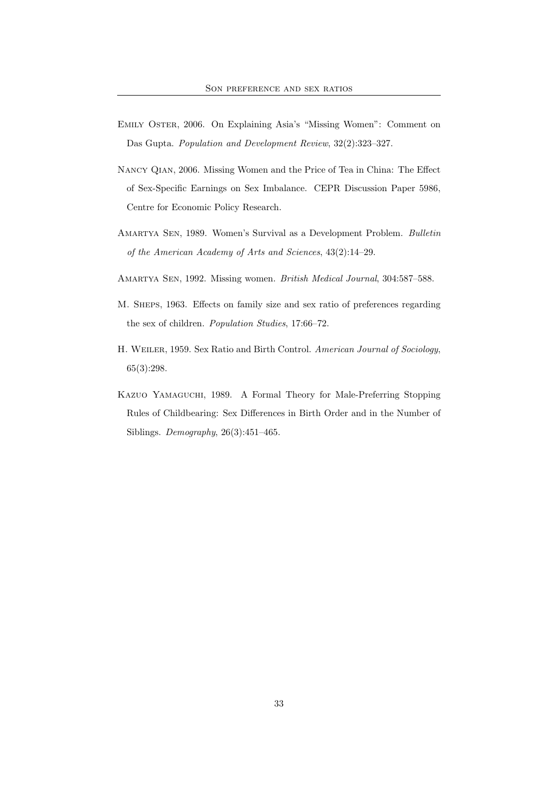- Emily Oster, 2006. On Explaining Asia's "Missing Women": Comment on Das Gupta. Population and Development Review, 32(2):323–327.
- Nancy Qian, 2006. Missing Women and the Price of Tea in China: The Effect of Sex-Specific Earnings on Sex Imbalance. CEPR Discussion Paper 5986, Centre for Economic Policy Research.
- Amartya Sen, 1989. Women's Survival as a Development Problem. Bulletin of the American Academy of Arts and Sciences, 43(2):14–29.
- Amartya Sen, 1992. Missing women. British Medical Journal, 304:587–588.
- M. SHEPS, 1963. Effects on family size and sex ratio of preferences regarding the sex of children. Population Studies, 17:66–72.
- H. Weiler, 1959. Sex Ratio and Birth Control. American Journal of Sociology, 65(3):298.
- Kazuo Yamaguchi, 1989. A Formal Theory for Male-Preferring Stopping Rules of Childbearing: Sex Differences in Birth Order and in the Number of Siblings. Demography, 26(3):451–465.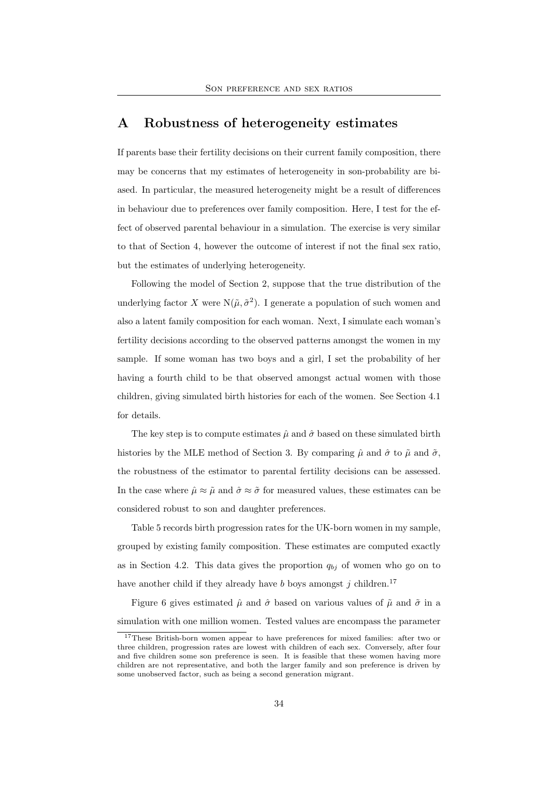# A Robustness of heterogeneity estimates

If parents base their fertility decisions on their current family composition, there may be concerns that my estimates of heterogeneity in son-probability are biased. In particular, the measured heterogeneity might be a result of differences in behaviour due to preferences over family composition. Here, I test for the effect of observed parental behaviour in a simulation. The exercise is very similar to that of Section 4, however the outcome of interest if not the final sex ratio, but the estimates of underlying heterogeneity.

Following the model of Section 2, suppose that the true distribution of the underlying factor X were  $N(\tilde{\mu}, \tilde{\sigma}^2)$ . I generate a population of such women and also a latent family composition for each woman. Next, I simulate each woman's fertility decisions according to the observed patterns amongst the women in my sample. If some woman has two boys and a girl, I set the probability of her having a fourth child to be that observed amongst actual women with those children, giving simulated birth histories for each of the women. See Section 4.1 for details.

The key step is to compute estimates  $\hat{\mu}$  and  $\hat{\sigma}$  based on these simulated birth histories by the MLE method of Section 3. By comparing  $\hat{\mu}$  and  $\hat{\sigma}$  to  $\tilde{\mu}$  and  $\tilde{\sigma}$ , the robustness of the estimator to parental fertility decisions can be assessed. In the case where  $\hat{\mu} \approx \tilde{\mu}$  and  $\hat{\sigma} \approx \tilde{\sigma}$  for measured values, these estimates can be considered robust to son and daughter preferences.

Table 5 records birth progression rates for the UK-born women in my sample, grouped by existing family composition. These estimates are computed exactly as in Section 4.2. This data gives the proportion  $q_{bj}$  of women who go on to have another child if they already have b boys amongst j children.<sup>17</sup>

Figure 6 gives estimated  $\hat{\mu}$  and  $\hat{\sigma}$  based on various values of  $\tilde{\mu}$  and  $\tilde{\sigma}$  in a simulation with one million women. Tested values are encompass the parameter

<sup>17</sup>These British-born women appear to have preferences for mixed families: after two or three children, progression rates are lowest with children of each sex. Conversely, after four and five children some son preference is seen. It is feasible that these women having more children are not representative, and both the larger family and son preference is driven by some unobserved factor, such as being a second generation migrant.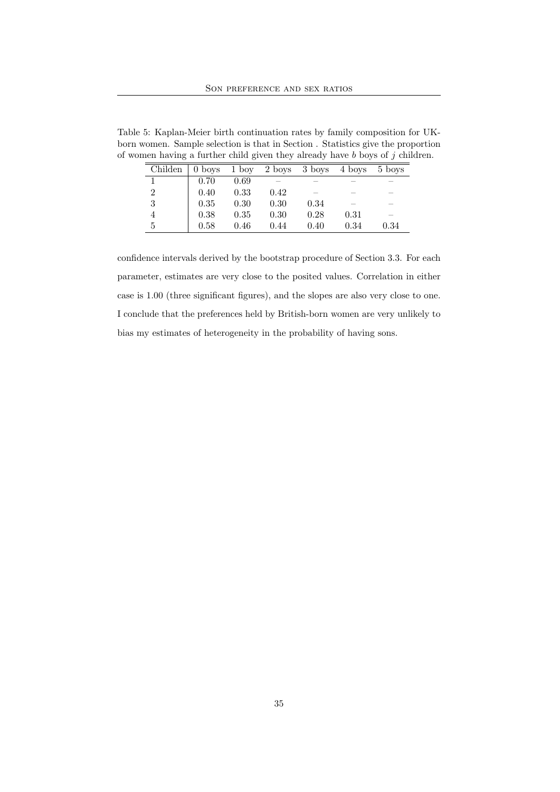Table 5: Kaplan-Meier birth continuation rates by family composition for UKborn women. Sample selection is that in Section . Statistics give the proportion of women having a further child given they already have  $b$  boys of  $j$  children.

| Childen        |      | $0$ boys $1$ boy |      | 2 boys 3 boys | 4 boys                   | 5 boys                   |
|----------------|------|------------------|------|---------------|--------------------------|--------------------------|
|                | 0.70 | 0.69             |      |               |                          | _                        |
| $\overline{2}$ | 0.40 | 0.33             | 0.42 |               |                          | _                        |
| 3              | 0.35 | 0.30             | 0.30 | 0.34          | $\overline{\phantom{a}}$ | $\overline{\phantom{a}}$ |
| $\overline{4}$ | 0.38 | 0.35             | 0.30 | 0.28          | 0.31                     | _                        |
| 5              | 0.58 | 0.46             | 0.44 | 0.40          | 0.34                     | 0.34                     |

confidence intervals derived by the bootstrap procedure of Section 3.3. For each parameter, estimates are very close to the posited values. Correlation in either case is 1.00 (three significant figures), and the slopes are also very close to one. I conclude that the preferences held by British-born women are very unlikely to bias my estimates of heterogeneity in the probability of having sons.